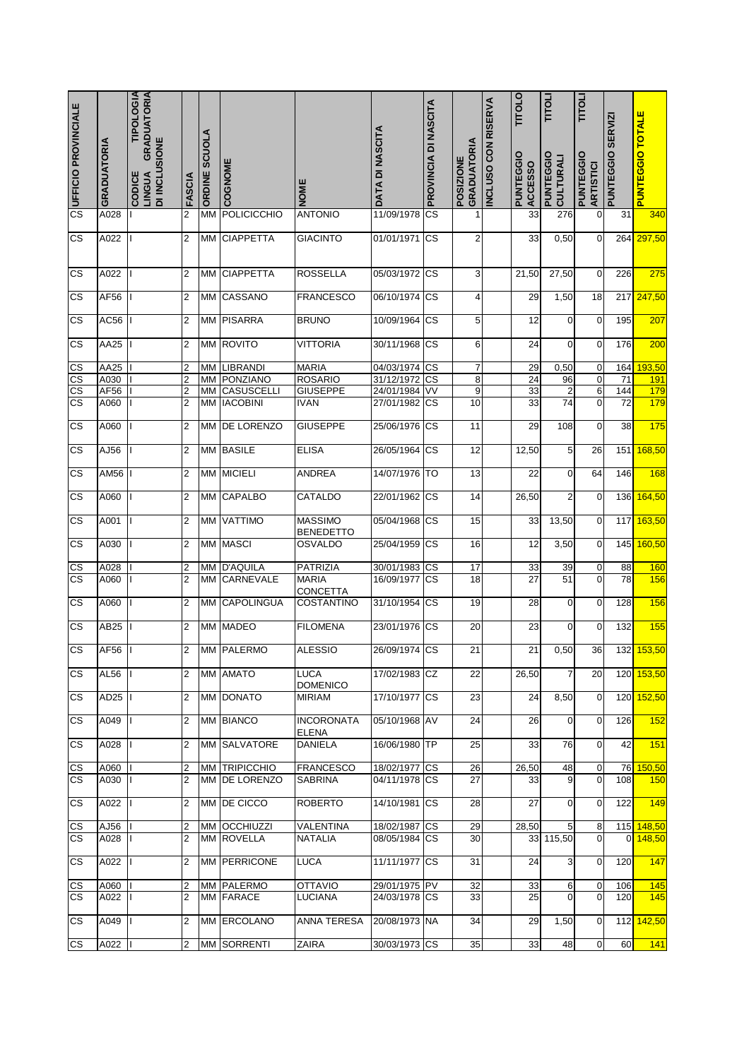| CONDIANONALE                                     | GRADUATORIA  | <b>TIPOLOGIA</b><br><b>GRADUATORIA</b><br>DI INCLUSIONE<br>CODICE<br>LINGUA | FASCIA              | <b>ORDINE SCUOLA</b> | COGNOME                               | NOME                               | DATA DI NASCITA                | PROVINCIA DI NASCITA | <b>GRADUATORIA</b><br>POSIZIONE | <b>CON RISERVA</b><br><b>INCLUSO</b> | <b>TITOLO</b><br>PUNTEGGIO<br><b>ACCESSO</b> | <b>TITOLI</b><br>PUNTEGGIO<br><b>CULTURALI</b> | <b>TILOTIL</b><br>PUNTEGGIO<br><b>ARTISTICI</b> | PUNTEGGIO SERVIZI     | <b>PUNTEGGIO TOTALE</b> |
|--------------------------------------------------|--------------|-----------------------------------------------------------------------------|---------------------|----------------------|---------------------------------------|------------------------------------|--------------------------------|----------------------|---------------------------------|--------------------------------------|----------------------------------------------|------------------------------------------------|-------------------------------------------------|-----------------------|-------------------------|
|                                                  | A028         |                                                                             | $\overline{2}$      | <b>MM</b>            | <b>POLICICCHIO</b>                    | <b>ANTONIO</b>                     | 11/09/1978                     | <b>CS</b>            | 1                               |                                      | 33                                           | 276                                            | $\mathbf 0$                                     | 31                    | 340                     |
| $\overline{\text{cs}}$                           | A022         |                                                                             | 2                   | MM                   | <b>CIAPPETTA</b>                      | <b>GIACINTO</b>                    | 01/01/1971                     | <b>CS</b>            | $\overline{\mathbf{c}}$         |                                      | 33                                           | 0,50                                           | $\mathbf 0$                                     | 264                   | 297,50                  |
| <b>CS</b>                                        | A022         |                                                                             | 2                   | <b>MM</b>            | <b>CIAPPETTA</b>                      | <b>ROSSELLA</b>                    | 05/03/1972 CS                  |                      | 3                               |                                      | 21,50                                        | 27,50                                          | 0                                               | 226                   | 275                     |
| <b>CS</b>                                        | AF56         |                                                                             | $\overline{c}$      | МM                   | CASSANO                               | <b>FRANCESCO</b>                   | 06/10/1974                     | <b>CS</b>            | $\overline{\mathbf{r}}$         |                                      | 29                                           | 1,50                                           | 18                                              | 217                   | 247,50                  |
| <b>CS</b>                                        | AC56         |                                                                             | 2                   | ΜМ                   | <b>PISARRA</b>                        | <b>BRUNO</b>                       | 10/09/1964                     | <b>CS</b>            | 5                               |                                      | 12                                           | $\mathbf 0$                                    | $\mathbf 0$                                     | 195                   | 207                     |
| <b>CS</b>                                        | AA25         | $\mathsf{I}$                                                                | 2                   | MM                   | <b>ROVITO</b>                         | <b>VITTORIA</b>                    | 30/11/1968                     | <b>CS</b>            | 6                               |                                      | 24                                           | 0                                              | 0                                               | 176                   | 200                     |
| $\overline{\text{cs}}$                           | AA25         |                                                                             | 2                   | MM                   | <b>LIBRANDI</b>                       | <b>MARIA</b>                       | 04/03/1974                     | <b>CS</b>            | $\overline{\mathcal{I}}$        |                                      | 29                                           | 0,50                                           | $\pmb{0}$                                       | 164                   | 193,50                  |
| $\overline{\text{cs}}$<br>$\overline{\text{CS}}$ | A030<br>AF56 |                                                                             | 2<br>2              | MM<br>MM             | PONZIANO<br>CASUSCELLI                | <b>ROSARIO</b><br><b>GIUSEPPE</b>  | 31/12/1972<br>24/01/1984       | <b>CS</b><br>VV      | 8<br>9                          |                                      | 24<br>33                                     | 96<br>$\overline{2}$                           | 0<br>$6\phantom{a}$                             | 71<br>144             | <b>191</b><br>179       |
| $\overline{\text{cs}}$                           | A060         |                                                                             | $\overline{2}$      | МM                   | <b>IACOBINI</b>                       | <b>IVAN</b>                        | 27/01/1982                     | <b>CS</b>            | 10                              |                                      | 33                                           | 74                                             | $\mathbf 0$                                     | 72                    | 179                     |
| <b>CS</b>                                        | A060         |                                                                             | 2                   | ΜМ                   | DE LORENZO                            | <b>GIUSEPPE</b>                    | 25/06/1976                     | <b>CS</b>            | 11                              |                                      | 29                                           | 108                                            | $\mathbf 0$                                     | 38                    | 175                     |
| CS                                               | AJ56         | T                                                                           | 2                   | MM                   | <b>BASILE</b>                         | <b>ELISA</b>                       | 26/05/1964                     | <b>CS</b>            | 12                              |                                      | 12,50                                        | 5                                              | 26                                              | 151                   | 168,50                  |
| <b>CS</b>                                        | AM56         |                                                                             | 2                   | МM                   | <b>MICIELI</b>                        | <b>ANDREA</b>                      | 14/07/1976                     | <b>TO</b>            | 13                              |                                      | 22                                           | 0                                              | 64                                              | 146                   | 168                     |
| $\overline{\text{cs}}$                           | A060         | $\mathbf{I}$                                                                | 2                   | MM                   | <b>CAPALBO</b>                        | CATALDO                            | 22/01/1962 CS                  |                      | 14                              |                                      | 26,50                                        | $\overline{c}$                                 | 0                                               | 136                   | 164,50                  |
| <b>CS</b>                                        | A001         | Ш                                                                           | 2                   | ΜМ                   | <b>VATTIMO</b>                        | <b>MASSIMO</b><br><b>BENEDETTO</b> | 05/04/1968 CS                  |                      | 15                              |                                      | 33                                           | 13,50                                          | $\mathbf 0$                                     | 117                   | 163,50                  |
| CS                                               | A030         |                                                                             | 2                   | МM                   | <b>MASCI</b>                          | <b>OSVALDO</b>                     | 25/04/1959                     | CS                   | 16                              |                                      | 12                                           | 3,50                                           | 0                                               | 145                   | 160,50                  |
| CS                                               | A028         |                                                                             | 2                   | MM                   | <b>D'AQUILA</b>                       | PATRIZIA                           | 30/01/1983                     | <b>CS</b>            | 17                              |                                      | 33                                           | 39                                             | 0                                               | 88                    | 160                     |
| $\overline{\text{cs}}$                           | A060         | $\mathbf{I}$                                                                | $\overline{2}$      | <b>MM</b>            | CARNEVALE                             | <b>MARIA</b><br>CONCETTA           | 16/09/1977                     | <sub>CS</sub>        | 18                              |                                      | $\overline{27}$                              | 51                                             | $\overline{0}$                                  | 78                    | 156                     |
| CS                                               | A060         | $\mathbf{I}$                                                                | $\overline{2}$      | ΜМ                   | <b>CAPOLINGUA</b>                     | <b>COSTANTINO</b>                  | 31/10/1954 CS                  |                      | 19                              |                                      | 28                                           | $\mathbf 0$                                    | $\mathbf 0$                                     | 128                   | 156                     |
| $\overline{\text{cs}}$                           | AB25         | H                                                                           | 2                   |                      | MM MADEO                              | <b>FILOMENA</b>                    | 23/01/1976 CS                  |                      | 20                              |                                      | 23                                           | 0                                              | $\mathbf 0$                                     | 132                   | 155                     |
| <b>CS</b>                                        | AF56         |                                                                             | $\overline{2}$      |                      | MM PALERMO                            | <b>ALESSIO</b>                     | 26/09/1974 CS                  |                      | 21                              |                                      | 21                                           | 0,50                                           | 36                                              |                       | 132 153,50              |
| CS                                               | AL56         | П                                                                           | 2                   |                      | MM AMATO                              | <b>LUCA</b><br><b>DOMENICO</b>     | 17/02/1983                     | <b>CZ</b>            | 22                              |                                      | 26,50                                        | $\overline{7}$                                 | 20                                              | 120                   | 153,50                  |
| CS                                               | AD25   I     |                                                                             | 2                   |                      | MM DONATO                             | <b>MIRIAM</b>                      | 17/10/1977 CS                  |                      | 23                              |                                      | 24                                           | 8,50                                           | $\mathbf 0$                                     |                       | 120 152,50              |
| СS                                               | A049         | $\mathbf{I}$                                                                | 2                   |                      | <b>MM BIANCO</b>                      | <b>INCORONATA</b><br><b>ELENA</b>  | 05/10/1968 AV                  |                      | 24                              |                                      | 26                                           | $\mathbf 0$                                    | $\mathbf 0$                                     | 126                   | 152                     |
| СS                                               | A028         | $\mathbf{H}$                                                                | 2                   |                      | MM SALVATORE                          | <b>DANIELA</b>                     | 16/06/1980 TP                  |                      | 25                              |                                      | 33                                           | 76                                             | $\overline{0}$                                  | 42                    | 151                     |
| СS<br><b>CS</b>                                  | A060<br>A030 | $\mathbf{I}$                                                                | 2<br>$\overline{2}$ |                      | MM TRIPICCHIO<br>MM <b>DE LORENZO</b> | <b>FRANCESCO</b><br><b>SABRINA</b> | 18/02/1977 CS<br>04/11/1978 CS |                      | 26<br>27                        |                                      | 26,50<br>33                                  | 48<br>9                                        | $\pmb{0}$<br>$\overline{0}$                     | 76<br>108             | 150,50<br>150           |
| <b>CS</b>                                        | A022         | П                                                                           | 2                   |                      | MM DE CICCO                           | <b>ROBERTO</b>                     | 14/10/1981                     | <b>CS</b>            | 28                              |                                      | 27                                           | $\mathbf 0$                                    | $\mathbf 0$                                     | 122                   | 149                     |
|                                                  |              |                                                                             |                     |                      |                                       |                                    |                                |                      |                                 |                                      |                                              |                                                |                                                 |                       |                         |
| <u>CS</u><br>$\overline{\text{cs}}$              | AJ56<br>A028 |                                                                             | 2<br>2              |                      | MM OCCHIUZZI<br>MM ROVELLA            | VALENTINA<br><b>NATALIA</b>        | 18/02/1987 CS<br>08/05/1984 CS |                      | 29<br>30                        |                                      | 28,50<br>331                                 | 5<br>115,50                                    | 8<br>$\mathbf 0$                                | 115<br>$\overline{0}$ | 148,50<br>148,50        |
| <b>CS</b>                                        | A022         |                                                                             | 2                   |                      | MM PERRICONE                          | <b>LUCA</b>                        | 11/11/1977 CS                  |                      | 31                              |                                      | 24                                           | 3                                              | $\mathbf 0$                                     | 120                   | 147                     |
| CS                                               | A060         |                                                                             | 2                   |                      | MM PALERMO                            | <b>OTTAVIO</b>                     | 29/01/1975 PV                  |                      | 32                              |                                      | 33                                           | 6                                              | $\overline{0}$                                  | 106                   | 145                     |
| <b>CS</b>                                        | A022         | Ш                                                                           | 2                   |                      | MM FARACE                             | <b>LUCIANA</b>                     | 24/03/1978 CS                  |                      | 33                              |                                      | 25                                           | $\mathbf 0$                                    | $\mathbf{0}$                                    | 120                   | 145                     |
| <b>CS</b>                                        | A049         | $\mathbf{H}$                                                                | 2                   |                      | MM ERCOLANO                           | ANNA TERESA                        | 20/08/1973 NA                  |                      | 34                              |                                      | 29                                           | 1,50                                           | $\overline{O}$                                  | 112                   | 142,50                  |
| <b>CS</b>                                        | A022         |                                                                             | 2                   |                      | MM SORRENTI                           | ZAIRA                              | 30/03/1973 CS                  |                      | 35                              |                                      | 33                                           | 48                                             | $\overline{0}$                                  | 60                    | 141                     |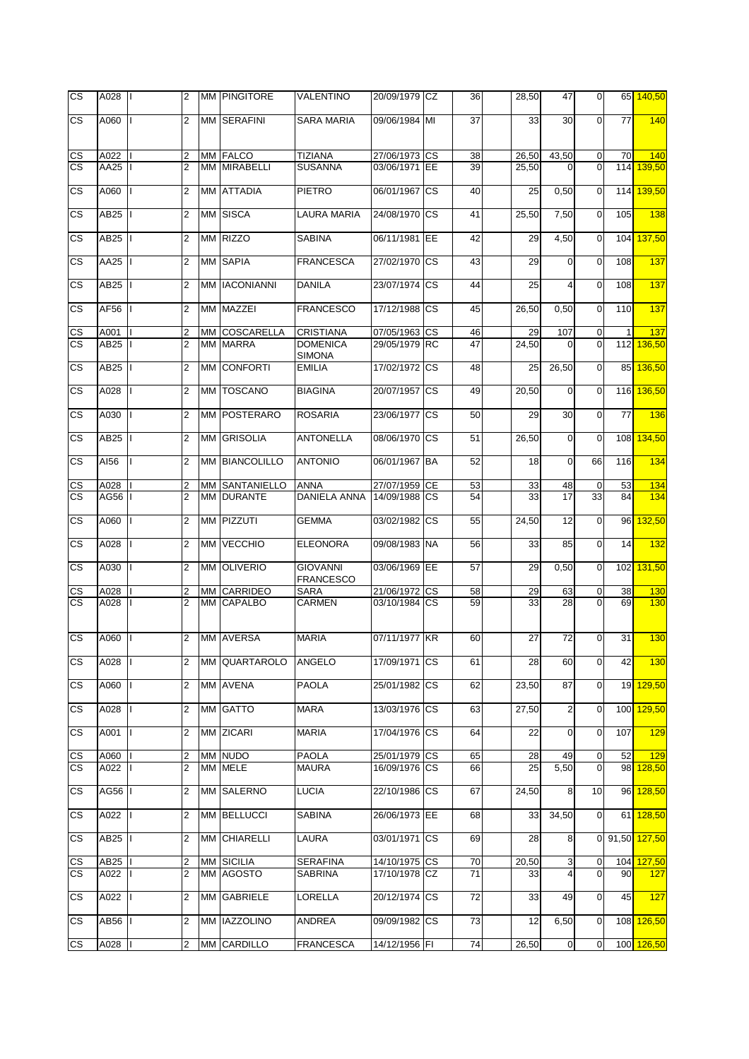| <b>CS</b>              | A028             |   | $\overline{2}$ |           | MM PINGITORE          | VALENTINO                           | 20/09/1979 CZ | 36              | 28,50 | 47                      | $\mathbf 0$    |     | 65 140.50      |
|------------------------|------------------|---|----------------|-----------|-----------------------|-------------------------------------|---------------|-----------------|-------|-------------------------|----------------|-----|----------------|
| $\overline{\text{cs}}$ | A060             |   | $\overline{2}$ |           | MM SERAFINI           | <b>SARA MARIA</b>                   | 09/06/1984 MI | $\overline{37}$ | 33    | 30                      | $\overline{0}$ | 77  | 140            |
| CS                     | A022             |   | $\overline{2}$ |           | <b>MM FALCO</b>       | <b>TIZIANA</b>                      | 27/06/1973 CS | 38              | 26,50 | 43,50                   | $\mathbf 0$    | 70  | 140            |
| $\overline{\text{cs}}$ | AA25             |   | $\overline{2}$ | MМ        | <b>MIRABELLI</b>      | <b>SUSANNA</b>                      | 03/06/1971 EE | 39              | 25,50 | 0                       | $\Omega$       | 114 | 139,50         |
| $\overline{\text{cs}}$ | A060             |   | $\overline{2}$ |           | MM ATTADIA            | <b>PIETRO</b>                       | 06/01/1967 CS | 40              | 25    | 0,50                    | $\overline{O}$ | 114 | 139,50         |
| $\overline{\text{cs}}$ | AB25             |   | $\overline{2}$ |           | MM SISCA              | LAURA MARIA                         | 24/08/1970 CS | 41              | 25,50 | 7,50                    | $\overline{0}$ | 105 | 138            |
| $\overline{\text{cs}}$ | AB25             |   | $\overline{2}$ |           | MM RIZZO              | <b>SABINA</b>                       | 06/11/1981 EE | 42              | 29    | 4,50                    | $\overline{0}$ | 104 | 137,50         |
| $\overline{\text{cs}}$ | AA25             |   | $\overline{2}$ |           | <b>MM SAPIA</b>       | <b>FRANCESCA</b>                    | 27/02/1970 CS | 43              | 29    | $\Omega$                | $\mathbf{0}$   | 108 | 137            |
| CS                     | AB25             |   | $\overline{2}$ | <b>MM</b> | <b>IACONIANNI</b>     | <b>DANILA</b>                       | 23/07/1974 CS | 44              | 25    | 4                       | $\mathbf 0$    | 108 | 137            |
| <b>CS</b>              | AF56             |   | 2              |           | MM MAZZEI             | <b>FRANCESCO</b>                    | 17/12/1988 CS | 45              | 26,50 | 0,50                    | $\mathbf 0$    | 110 | 137            |
| СS                     | A001             |   | 2              | <b>MM</b> | <b>COSCARELLA</b>     | <b>CRISTIANA</b>                    | 07/05/1963 CS | 46              | 29    | 107                     | $\mathbf 0$    |     | 137            |
| $\overline{\text{cs}}$ | AB25             |   | $\overline{2}$ |           | MM MARRA              | <b>DOMENICA</b><br><b>SIMONA</b>    | 29/05/1979 RC | 47              | 24,50 | $\Omega$                | $\Omega$       | 112 | 136,50         |
| <b>CS</b>              | AB25             |   | $\overline{2}$ | МM        | <b>CONFORTI</b>       | <b>EMILIA</b>                       | 17/02/1972 CS | 48              | 25    | 26,50                   | $\overline{0}$ | 85  | 136,50         |
| CS                     | A028             |   | $\overline{2}$ |           | MM TOSCANO            | <b>BIAGINA</b>                      | 20/07/1957 CS | 49              | 20,50 | $\mathbf 0$             | $\mathbf{0}$   |     | 116 136,50     |
| <b>CS</b>              | A030             |   | $\overline{2}$ | МM        | POSTERARO             | <b>ROSARIA</b>                      | 23/06/1977 CS | 50              | 29    | 30                      | $\overline{0}$ | 77  | 136            |
| <b>CS</b>              | AB25             |   | $\overline{2}$ | МM        | <b>GRISOLIA</b>       | <b>ANTONELLA</b>                    | 08/06/1970 CS | 51              | 26,50 | $\mathbf 0$             | $\Omega$       | 108 | 134,50         |
| <b>CS</b>              | AI56             |   | $\overline{2}$ |           | MM BIANCOLILLO        | <b>ANTONIO</b>                      | 06/01/1967 BA | 52              | 18    | $\mathbf 0$             | 66             | 116 | 134            |
| CS                     | A028             |   | 2              |           | <b>MM SANTANIELLO</b> | <b>ANNA</b>                         | 27/07/1959 CE | 53              | 33    | 48                      | $\mathbf 0$    | 53  | 134            |
| <b>CS</b>              | AG56             |   | $\overline{2}$ | МM        | <b>DURANTE</b>        | <b>DANIELA ANNA</b>                 | 14/09/1988 CS | 54              | 33    | 17                      | 33             | 84  | 134            |
| СS                     | A060             |   | $\overline{2}$ |           | MM PIZZUTI            | <b>GEMMA</b>                        | 03/02/1982 CS | 55              | 24,50 | 12                      | $\overline{O}$ | 96  | 132,50         |
| CS                     | A028             |   | 2              | MM        | <b>VECCHIO</b>        | <b>ELEONORA</b>                     | 09/08/1983 NA | 56              | 33    | 85                      | $\overline{O}$ | 14  | 132            |
| СS                     | A030             |   | 2              | МM        | <b>OLIVERIO</b>       | <b>GIOVANNI</b><br><b>FRANCESCO</b> | 03/06/1969 EE | 57              | 29    | 0,50                    | $\overline{O}$ | 102 | 131,50         |
| CS                     | A028             |   | 2              | МM        | CARRIDEO              | <b>SARA</b>                         | 21/06/1972 CS | 58              | 29    | 63                      | $\mathbf 0$    | 38  | 130            |
| <b>CS</b>              | A028             |   | $\overline{2}$ | MМ        | <b>CAPALBO</b>        | CARMEN                              | 03/10/1984 CS | 59              | 33    | 28                      | $\overline{0}$ | 69  | 130            |
| CS                     | A060             |   | $\overline{2}$ |           | MM AVERSA             | <b>MARIA</b>                        | 07/11/1977 KR | 60              | 27    | 72                      | $\overline{O}$ | 31  | 130            |
| CS                     | A028             |   | $\overline{2}$ |           | MM QUARTAROLO         | ANGELO                              | 17/09/1971 CS | 61              | 28    | 60                      | $\overline{0}$ | 42  | 130            |
| <b>CS</b>              | A060             |   | $\overline{2}$ |           | MM AVENA              | <b>PAOLA</b>                        | 25/01/1982 CS | 62              | 23,50 | 87                      | $\overline{0}$ |     | 19 129,50      |
| CS.                    | A028             |   | 2              |           | MM GATTO              | <b>MARA</b>                         | 13/03/1976 CS | 63              | 27,50 | $\overline{\mathbf{c}}$ | $\mathbf 0$    |     | 100 129,50     |
| CS.                    | A001             | T | $\overline{2}$ |           | MM ZICARI             | <b>MARIA</b>                        | 17/04/1976 CS | 64              | 22    | $\mathbf 0$             | $\overline{0}$ | 107 | 129            |
| $\mathsf{CS}$          | A060             |   | 2              |           | MM NUDO               | <b>PAOLA</b>                        | 25/01/1979 CS | 65              | 28    | 49                      | $\overline{0}$ | 52  | 129            |
| <b>CS</b>              | A022             |   | $\overline{2}$ |           | MM MELE               | <b>MAURA</b>                        | 16/09/1976 CS | 66              | 25    | 5,50                    | $\overline{0}$ |     | 98 128,50      |
| <b>CS</b>              | AG56             |   | $\overline{2}$ |           | MM SALERNO            | <b>LUCIA</b>                        | 22/10/1986 CS | 67              | 24,50 | 8                       | 10             |     | 96 128,50      |
| СS                     | A022             |   | $\overline{2}$ |           | MM BELLUCCI           | <b>SABINA</b>                       | 26/06/1973 EE | 68              | 33    | 34,50                   | $\overline{0}$ |     | 61 128,50      |
| СS                     | AB25             |   | 2              |           | MM CHIARELLI          | LAURA                               | 03/01/1971 CS | 69              | 28    | 8                       |                |     | 0 91,50 127,50 |
| СS                     | AB <sub>25</sub> |   | 2              |           | <b>MM SICILIA</b>     | <b>SERAFINA</b>                     | 14/10/1975 CS | 70              | 20,50 | 3                       | $\overline{0}$ |     | 104 127,50     |
| CS.                    | A022             |   | $\overline{2}$ |           | MM AGOSTO             | <b>SABRINA</b>                      | 17/10/1978 CZ | 71              | 33    | 4                       | $\overline{0}$ | 90  | 127            |
| <b>CS</b>              | A022             |   | 2              |           | <b>MM GABRIELE</b>    | <b>LORELLA</b>                      | 20/12/1974 CS | 72              | 33    | 49                      | $\mathbf 0$    | 45  | 127            |
| CS.                    | AB56             |   | $\overline{2}$ |           | MM IAZZOLINO          | ANDREA                              | 09/09/1982 CS | 73              | 12    | 6,50                    | $\overline{0}$ |     | 108 126,50     |
| CS                     | A028             |   | $\overline{2}$ |           | MM CARDILLO           | <b>FRANCESCA</b>                    | 14/12/1956 FI | 74              | 26,50 | $\overline{0}$          | $\mathbf 0$    |     | 100 126,50     |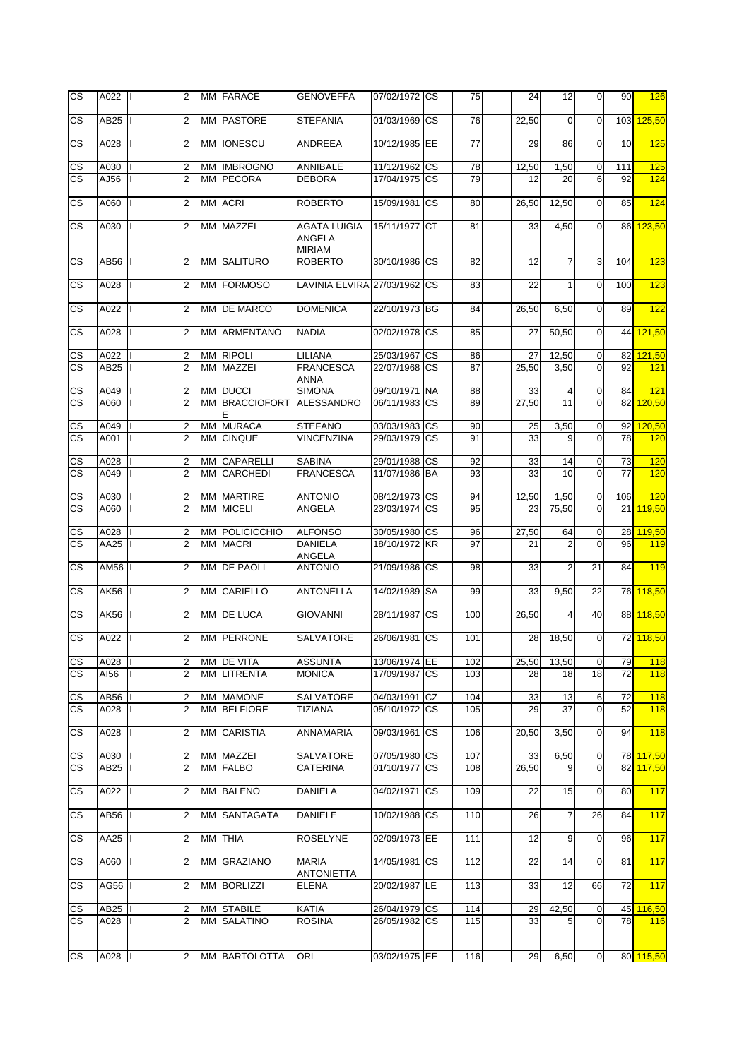| CS                     | A022             |              | $\overline{2}$ |      | MM FARACE             | <b>GENOVEFFA</b>                                      | 07/02/1972 CS |            | 75  | 24    | 12             | $\mathbf 0$    | 90  | 126        |
|------------------------|------------------|--------------|----------------|------|-----------------------|-------------------------------------------------------|---------------|------------|-----|-------|----------------|----------------|-----|------------|
| CS                     | AB25             |              | $\overline{2}$ |      | MM PASTORE            | <b>STEFANIA</b>                                       | 01/03/1969 CS |            | 76  | 22,50 | $\Omega$       | $\Omega$       | 103 | 125,50     |
| CS                     | A028             |              | 2              |      | MM <b>IONESCU</b>     | ANDREEA                                               | 10/12/1985 EE |            | 77  | 29    | 86             | $\mathbf 0$    | 10  | 125        |
| CS                     | A030             |              | 2              |      | MM IMBROGNO           | ANNIBALE                                              | 11/12/1962 CS |            | 78  | 12,50 | 1,50           | $\mathbf 0$    | 111 | 125        |
| $\overline{\text{cs}}$ | AJ56             |              | $\overline{2}$ |      | MM PECORA             | <b>DEBORA</b>                                         | 17/04/1975 CS |            | 79  | 12    | 20             | 6              | 92  | 124        |
| CS                     | A060             |              | $\overline{2}$ |      | MM ACRI               | <b>ROBERTO</b>                                        | 15/09/1981 CS |            | 80  | 26,50 | 12,50          | $\mathbf 0$    | 85  | 124        |
| CS.                    | A030             |              | $\overline{2}$ |      | MM MAZZEI             | <b>AGATA LUIGIA</b><br><b>ANGELA</b><br><b>MIRIAM</b> | 15/11/1977 CT |            | 81  | 33    | 4,50           | $\overline{0}$ | 86  | 123,50     |
| CS                     | AB56             |              | 2              |      | <b>MM SALITURO</b>    | <b>ROBERTO</b>                                        | 30/10/1986 CS |            | 82  | 12    | 7              | 3              | 104 | 123        |
| <b>CS</b>              | A028             |              | $\overline{2}$ |      | MM FORMOSO            | LAVINIA ELVIRA 27/03/1962 CS                          |               |            | 83  | 22    | 1              | $\mathbf 0$    | 100 | 123        |
| CS                     | A022             |              | 2              |      | MM DE MARCO           | <b>DOMENICA</b>                                       | 22/10/1973 BG |            | 84  | 26,50 | 6,50           | $\mathbf 0$    | 89  | 122        |
| <b>CS</b>              | A028             |              | $\overline{2}$ |      | MM ARMENTANO          | <b>NADIA</b>                                          | 02/02/1978 CS |            | 85  | 27    | 50,50          | $\mathbf 0$    | 44  | 121,50     |
| CS                     | A022             |              | 2              |      | MM RIPOLI             | LILIANA                                               | 25/03/1967 CS |            | 86  | 27    | 12,50          | $\mathbf 0$    | 82  | 121,50     |
| <b>CS</b>              | AB25             |              | $\overline{2}$ |      | MM MAZZEI             | <b>FRANCESCA</b><br>ANNA                              | 22/07/1968 CS |            | 87  | 25,50 | 3,50           | $\Omega$       | 92  | 121        |
| CS                     | A049             |              | $\overline{2}$ |      | MM DUCCI              | <b>SIMONA</b>                                         | 09/10/1971 NA |            | 88  | 33    | 4              | $\mathbf 0$    | 84  | 121        |
| <b>CS</b>              | A060             |              | $\overline{2}$ |      | MM BRACCIOFORT<br>E   | <b>ALESSANDRO</b>                                     | 06/11/1983 CS |            | 89  | 27,50 | 11             | $\Omega$       | 82  | 120,50     |
| <u>CS</u>              | A049             |              | 2              |      | MM MURACA             | <b>STEFANO</b>                                        | 03/03/1983    | <b>CS</b>  | 90  | 25    | 3,50           | $\mathbf 0$    | 92  | 120,50     |
| <b>CS</b>              | A001             |              | $\overline{2}$ |      | MM CINQUE             | <b>VINCENZINA</b>                                     | 29/03/1979 CS |            | 91  | 33    | 9              | $\mathbf 0$    | 78  | 120        |
| $\mathsf{CS}\,$        | A028             |              | 2              |      | MM CAPARELLI          | <b>SABINA</b>                                         | 29/01/1988 CS |            | 92  | 33    | 14             | 0              | 73  | 120        |
| $\overline{\text{cs}}$ | A049             |              | $\overline{2}$ |      | MM CARCHEDI           | <b>FRANCESCA</b>                                      | 11/07/1986 BA |            | 93  | 33    | 10             | $\Omega$       | 77  | 120        |
| CS                     | A030             |              | 2              |      | MM MARTIRE            | <b>ANTONIO</b>                                        | 08/12/1973 CS |            | 94  | 12,50 | 1,50           | $\overline{0}$ | 106 | 120        |
| $\overline{\text{cs}}$ | A060             |              | $\overline{2}$ |      | MM MICELI             | ANGELA                                                | 23/03/1974 CS |            | 95  | 23    | 75,50          | $\Omega$       | 21  | 119,50     |
| CS                     | A028             |              | 2              |      | <b>MM POLICICCHIO</b> | <b>ALFONSO</b>                                        | 30/05/1980 CS |            | 96  | 27,50 | 64             | $\mathbf 0$    | 28  | 119,50     |
| $\overline{\text{cs}}$ | AA25             |              | $\overline{2}$ |      | <b>MM MACRI</b>       | <b>DANIELA</b><br>ANGELA                              | 18/10/1972 KR |            | 97  | 21    | $\overline{2}$ | $\Omega$       | 96  | 119        |
| CS                     | AM56             |              | $\overline{2}$ |      | MM DE PAOLI           | <b>ANTONIO</b>                                        | 21/09/1986 CS |            | 98  | 33    | 2              | 21             | 84  | 119        |
| CS                     | AK56             |              | $\overline{2}$ | MM I | <b>CARIELLO</b>       | <b>ANTONELLA</b>                                      | 14/02/1989    | <b>SA</b>  | 99  | 33    | 9,50           | 22             | 76  | 118,50     |
| CS                     | <b>AK56</b>      |              | $\overline{2}$ |      | MM DE LUCA            | <b>GIOVANNI</b>                                       | 28/11/1987    | <b>CS</b>  | 100 | 26,50 | 4              | 40             | 88  | 118,50     |
| CS.                    | A022             |              | $\overline{2}$ |      | <b>MM PERRONE</b>     | <b>SALVATORE</b>                                      | 26/06/1981    | <b>ICS</b> | 101 | 28    | 18,50          | $\overline{0}$ | 72  | 118,50     |
| <u>CS</u>              | A028             |              | $\overline{2}$ |      | MM DE VITA            | <b>ASSUNTA</b>                                        | 13/06/1974 EE |            | 102 | 25,50 | 13,50          | $\mathbf 0$    | 79  | <b>118</b> |
| <b>CS</b>              | AI56             |              | $\overline{2}$ |      | MM LITRENTA           | <b>MONICA</b>                                         | 17/09/1987 CS |            | 103 | 28    | 18             | 18             | 72  | 118        |
| $\mathsf{CS}\,$        | AB56             |              | 2              |      | MM MAMONE             | SALVATORE                                             | 04/03/1991    | CZ         | 104 | 33    | 13             | 6              | 72  | 118        |
| <b>CS</b>              | A028             |              | 2              |      | MM BELFIORE           | <b>TIZIANA</b>                                        | 05/10/1972 CS |            | 105 | 29    | 37             | $\mathbf 0$    | 52  | 118        |
| СS                     | A028             |              | 2              |      | MM CARISTIA           | <b>ANNAMARIA</b>                                      | 09/03/1961 CS |            | 106 | 20,50 | 3,50           | $\mathbf 0$    | 94  | 118        |
| CS                     | A030             |              | 2              |      | MM MAZZEI             | SALVATORE                                             | 07/05/1980 CS |            | 107 | 33    | 6,50           | 0              |     | 78 117,50  |
| <b>CS</b>              | AB <sub>25</sub> |              | $\overline{2}$ |      | MM FALBO              | <b>CATERINA</b>                                       | 01/10/1977 CS |            | 108 | 26,50 |                | $\Omega$       | 82  | 117,50     |
| <b>CS</b>              | A022             | $\mathbf{I}$ | 2              |      | MM BALENO             | <b>DANIELA</b>                                        | 04/02/1971 CS |            | 109 | 22    | 15             | $\mathbf 0$    | 80  | 117        |
| CS.                    | AB56             |              | 2              |      | MM SANTAGATA          | <b>DANIELE</b>                                        | 10/02/1988 CS |            | 110 | 26    | 7              | 26             | 84  | 117        |
| CS.                    | AA25             |              | $\overline{2}$ |      | MM THIA               | <b>ROSELYNE</b>                                       | 02/09/1973 EE |            | 111 | 12    | 9              | $\mathbf 0$    | 96  | 117        |
| <b>CS</b>              | A060             |              | 2              |      | MM GRAZIANO           | <b>MARIA</b><br><b>ANTONIETTA</b>                     | 14/05/1981 CS |            | 112 | 22    | 14             | $\mathbf 0$    | 81  | 117        |
| CS.                    | AG56   I         |              | $\overline{2}$ |      | MM BORLIZZI           | <b>ELENA</b>                                          | 20/02/1987 LE |            | 113 | 33    | 12             | 66             | 72  | 117        |
| CS                     | AB25             |              | 2              |      | MM STABILE            | <b>KATIA</b>                                          | 26/04/1979 CS |            | 114 | 29    | 42,50          | $\overline{0}$ | 45  | 116,50     |
| CS.                    | A028             |              | 2              |      | MM SALATINO           | <b>ROSINA</b>                                         | 26/05/1982 CS |            | 115 | 33    | 5              | $\overline{0}$ | 78  | 116        |
| S                      | A028             |              | $\overline{2}$ |      | MM BARTOLOTTA         | ORI                                                   | 03/02/1975 EE |            | 116 | 29    | 6,50           | $\overline{0}$ |     | 80 115,50  |
|                        |                  |              |                |      |                       |                                                       |               |            |     |       |                |                |     |            |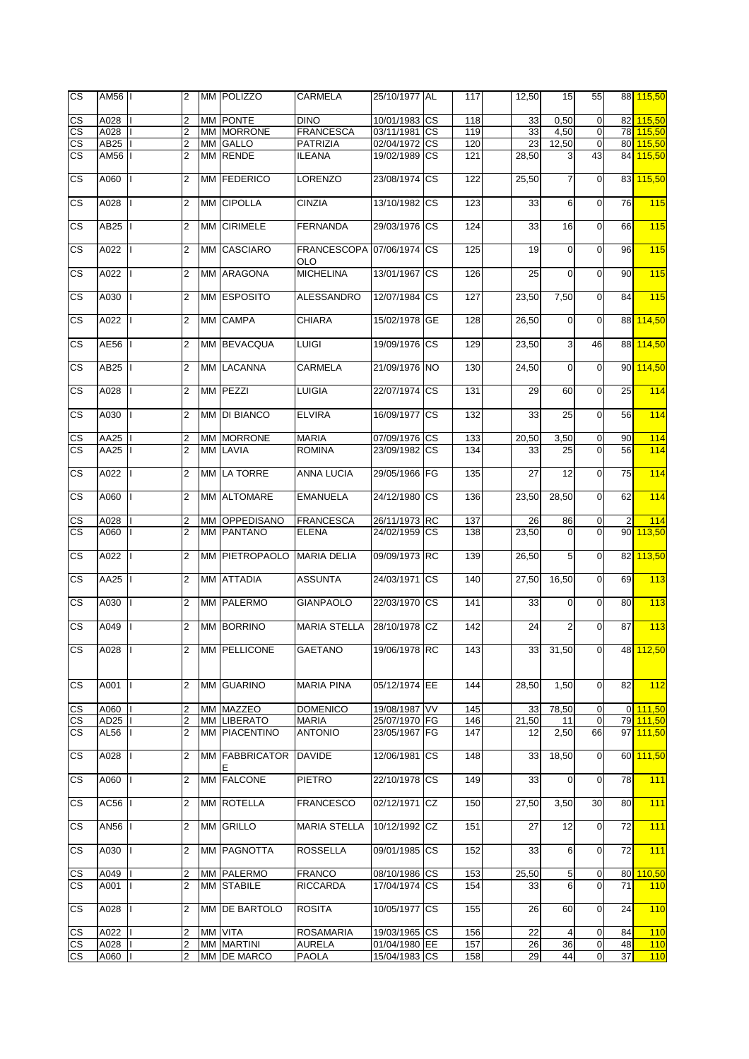| <b>CS</b>                | AM56 |              | $\overline{2}$          | MM POLIZZO          | CARMELA                                 | 25/10/1977 AL |           | 117 | 12,50 | 15             | 55             |                 | 88 115,50 |
|--------------------------|------|--------------|-------------------------|---------------------|-----------------------------------------|---------------|-----------|-----|-------|----------------|----------------|-----------------|-----------|
| $\overline{\text{cs}}$   | A028 |              | $\overline{2}$          | MM PONTE            | <b>DINO</b>                             | 10/01/1983 CS |           | 118 | 33    | 0,50           | $\mathbf 0$    | 82              | 115,50    |
| $\overline{\text{CS}}$   | A028 |              | $\overline{2}$          | MM MORRONE          | <b>FRANCESCA</b>                        | 03/11/1981 CS |           | 119 | 33    | 4,50           | $\overline{0}$ | 78              | 115,50    |
| $\overline{\text{cs}}$   | AB25 |              | $\overline{2}$          | MM GALLO            | <b>PATRIZIA</b>                         | 02/04/1972 CS |           | 120 | 23    | 12,50          | $\overline{0}$ | 80              | 115,50    |
|                          |      |              |                         |                     |                                         |               |           |     |       |                |                |                 |           |
| $\overline{\text{cs}}$   | AM56 |              | $\overline{2}$          | MM RENDE            | <b>ILEANA</b>                           | 19/02/1989 CS |           | 121 | 28,50 | 3              | 43             | 84              | 115,50    |
| $\overline{\text{cs}}$   | A060 |              | 2                       | MM FEDERICO         | <b>LORENZO</b>                          | 23/08/1974 CS |           | 122 | 25,50 | $\overline{7}$ | $\mathbf 0$    | 83              | 115,50    |
| $\overline{\text{cs}}$   | A028 |              | $\overline{2}$          | MM CIPOLLA          | <b>CINZIA</b>                           | 13/10/1982 CS |           | 123 | 33    | 6              | $\mathbf 0$    | 76              | 115       |
| CS                       | AB25 |              | $\overline{2}$          | MM CIRIMELE         | <b>FERNANDA</b>                         | 29/03/1976 CS |           | 124 | 33    | 16             | $\mathbf 0$    | 66              | 115       |
| CS                       | A022 |              | 2                       | MM CASCIARO         | FRANCESCOPA 07/06/1974 CS<br><b>OLO</b> |               |           | 125 | 19    | $\mathbf 0$    | $\mathbf 0$    | 96              | 115       |
| CS                       | A022 |              | 2                       | MM ARAGONA          | <b>MICHELINA</b>                        | 13/01/1967    | <b>CS</b> | 126 | 25    | 0              | $\overline{0}$ | 90              | 115       |
| <b>CS</b>                | A030 |              | $\overline{2}$          | MM ESPOSITO         | <b>ALESSANDRO</b>                       | 12/07/1984    | <b>CS</b> | 127 | 23,50 | 7,50           | $\mathbf 0$    | 84              | 115       |
| <b>CS</b>                | A022 |              | $\overline{2}$          | MM CAMPA            | <b>CHIARA</b>                           | 15/02/1978    | <b>GE</b> | 128 | 26,50 | $\mathbf 0$    | $\mathbf 0$    | 88              | 114,50    |
| <b>CS</b>                | AE56 |              | $\overline{2}$          | MM BEVACQUA         | <b>LUIGI</b>                            | 19/09/1976 CS |           | 129 | 23,50 | $\overline{3}$ | 46             | 88              | 114,50    |
| <b>CS</b>                | AB25 |              | $\overline{2}$          | MM LACANNA          | <b>CARMELA</b>                          | 21/09/1976 NO |           | 130 | 24,50 | $\mathbf 0$    | $\overline{0}$ | 90              | 114,50    |
| <b>CS</b>                | A028 |              | $\overline{2}$          | MM PEZZI            | <b>LUIGIA</b>                           | 22/07/1974    | <b>CS</b> | 131 | 29    | 60             | $\mathbf 0$    | 25              | 114       |
| <b>CS</b>                | A030 |              | $\overline{2}$          | MM DI BIANCO        | <b>ELVIRA</b>                           | 16/09/1977    | <b>CS</b> | 132 | 33    | 25             | $\overline{0}$ | 56              | 114       |
| $\mathsf{CS}$            | AA25 |              | 2                       | <b>MM MORRONE</b>   | <b>MARIA</b>                            | 07/09/1976 CS |           | 133 | 20,50 | 3,50           | $\mathbf 0$    | 90              | 114       |
| $\overline{\text{cs}}$   | AA25 |              | $\overline{2}$          | MM LAVIA            | <b>ROMINA</b>                           | 23/09/1982 CS |           | 134 | 33    | 25             | $\Omega$       | 56              | 114       |
| $\overline{\text{cs}}$   | A022 |              | 2                       | MM LA TORRE         | ANNA LUCIA                              | 29/05/1966 FG |           | 135 | 27    | 12             | $\mathbf 0$    | 75              | 114       |
| $\overline{\text{cs}}$   | A060 |              | $\overline{2}$          | MM ALTOMARE         | <b>EMANUELA</b>                         | 24/12/1980    | <b>CS</b> | 136 | 23,50 | 28,50          | $\mathbf 0$    | 62              | 114       |
|                          |      |              |                         |                     |                                         |               |           |     |       |                |                |                 |           |
| CS                       | A028 |              | 2                       | MM OPPEDISANO       | <b>FRANCESCA</b>                        | 26/11/1973 RC |           | 137 | 26    | 86             | $\mathbf 0$    | $\overline{2}$  | 114       |
| <b>CS</b>                | A060 |              | $\overline{2}$          | <b>MM PANTANO</b>   | <b>ELENA</b>                            | 24/02/1959 CS |           | 138 | 23,50 | $\Omega$       | $\overline{0}$ | 90 <sup>°</sup> | 113,50    |
| $\overline{\text{cs}}$   | A022 |              | $\overline{2}$          | MM PIETROPAOLO      | <b>MARIA DELIA</b>                      | 09/09/1973 RC |           | 139 | 26,50 | 5              | $\overline{0}$ | 82              | 113,50    |
| CS.                      | AA25 |              | $\overline{2}$          | <b>MM ATTADIA</b>   | <b>ASSUNTA</b>                          | 24/03/1971    | <b>CS</b> | 140 | 27,50 | 16,50          | $\mathbf 0$    | 69              | 113       |
| CS                       | A030 |              | $\overline{2}$          | MM PALERMO          | <b>GIANPAOLO</b>                        | 22/03/1970 CS |           | 141 | 33    | $\overline{O}$ | $\overline{0}$ | 80              | 113       |
| CS.                      | A049 |              | $\overline{2}$          | MM BORRINO          | <b>MARIA STELLA</b>                     | 28/10/1978 CZ |           | 142 | 24    | $\overline{2}$ | $\overline{0}$ | 87              | 113       |
| <b>CS</b>                | A028 |              | $\overline{2}$          | MM PELLICONE        | <b>GAETANO</b>                          | 19/06/1978 RC |           | 143 | 33    | 31,50          | $\Omega$       |                 | 48 112,50 |
| <b>CS</b>                | A001 | $\mathbf{H}$ | $\overline{2}$          | MM GUARINO          | <b>MARIA PINA</b>                       | 05/12/1974 EE |           | 144 | 28,50 | 1,50           | $\overline{0}$ | 82              | 112       |
| $\mathsf{CS}\phantom{0}$ | A060 |              | $\overline{\mathbf{c}}$ | MM MAZZEO           | <b>DOMENICO</b>                         | 19/08/1987 VV |           | 145 | 33    | 78,50          | $\overline{0}$ |                 | 0 111,50  |
| CS                       | AD25 |              | $\overline{2}$          | MM LIBERATO         | <b>MARIA</b>                            | 25/07/1970 FG |           | 146 | 21,50 | 11             | $\mathbf 0$    |                 | 79 111,50 |
| CS.                      | AL56 |              | $\overline{2}$          | MM PIACENTINO       | <b>ANTONIO</b>                          | 23/05/1967 FG |           | 147 | 12    | 2,50           | 66             |                 | 97 111,50 |
| CS.                      | A028 |              | $\overline{2}$          | MM FABBRICATOR<br>Е | <b>DAVIDE</b>                           | 12/06/1981 CS |           | 148 | 33    | 18,50          | $\overline{0}$ | 60              | 111,50    |
| CS.                      | A060 | L            | $\overline{2}$          | MM FALCONE          | <b>PIETRO</b>                           | 22/10/1978 CS |           | 149 | 33    | $\overline{0}$ | $\mathbf 0$    | 78              | 111       |
| CS.                      | AC56 |              | $\overline{2}$          | MM ROTELLA          | <b>FRANCESCO</b>                        | 02/12/1971    | CZ        | 150 | 27,50 | 3,50           | 30             | 80              | 111       |
| CS.                      | AN56 |              | $\overline{2}$          | <b>MM GRILLO</b>    | <b>MARIA STELLA</b>                     | 10/12/1992 CZ |           | 151 | 27    | 12             | $\overline{0}$ | 72              | 111       |
| CS.                      | A030 |              | 2                       | MM PAGNOTTA         | <b>ROSSELLA</b>                         | 09/01/1985 CS |           | 152 | 33    | 6              | $\overline{0}$ | 72              | 111       |
| CS                       | A049 |              | 2                       | MM PALERMO          | <b>FRANCO</b>                           | 08/10/1986 CS |           | 153 | 25,50 | 5              | $\mathbf 0$    | 80              | 110,50    |
| $\overline{\text{cs}}$   | A001 |              | $\overline{2}$          | <b>MM STABILE</b>   | <b>RICCARDA</b>                         | 17/04/1974    | <b>CS</b> | 154 | 33    | 6              | $\overline{0}$ | 71              | 110       |
|                          |      |              |                         |                     |                                         |               |           |     |       |                |                |                 |           |
| CS                       | A028 |              | 2                       | MM DE BARTOLO       | <b>ROSITA</b>                           | 10/05/1977    | <b>CS</b> | 155 | 26    | 60             | $\overline{0}$ | 24              | 110       |
| CS                       | A022 |              | 2                       | MM VITA             | <b>ROSAMARIA</b>                        | 19/03/1965 CS |           | 156 | 22    | 4              | $\mathbf 0$    | 84              | 110       |
| CS                       | A028 |              | 2                       | MM MARTINI          | <b>AURELA</b>                           | 01/04/1980 EE |           | 157 | 26    | 36             | $\overline{0}$ | 48              | 110       |
| CS                       | A060 |              | 2                       | MM DE MARCO         | <b>PAOLA</b>                            | 15/04/1983 CS |           | 158 | 29    | 44             | $\pmb{0}$      | 37              | 110       |
|                          |      |              |                         |                     |                                         |               |           |     |       |                |                |                 |           |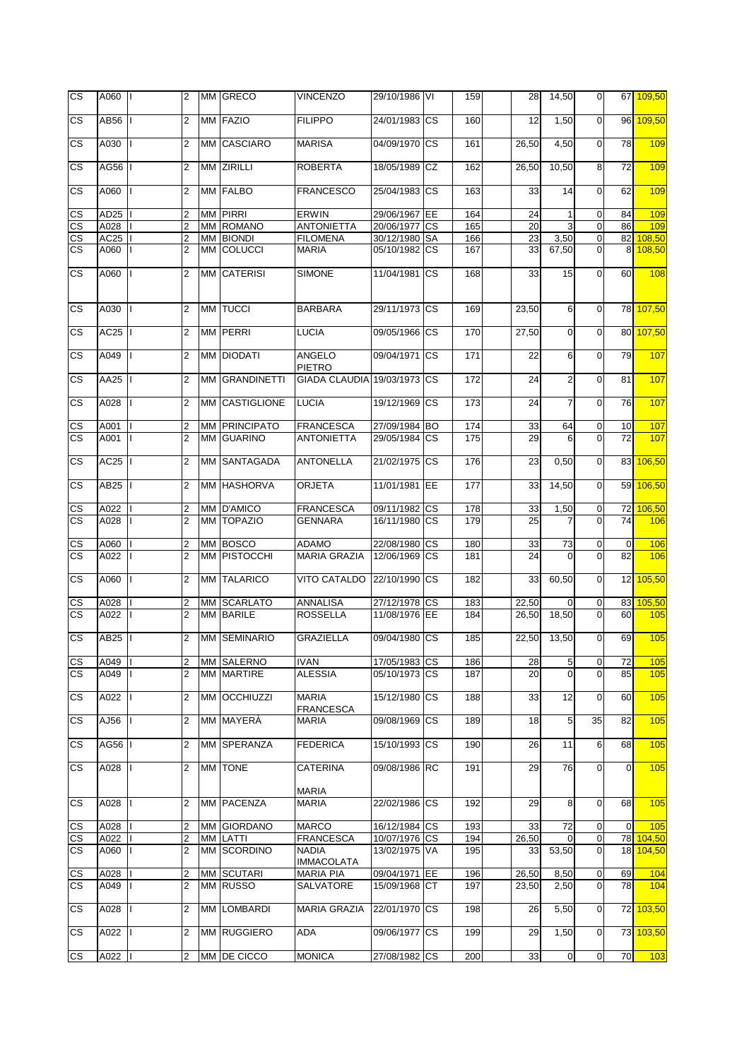| <b>CS</b>                    | A060   I         |              | 2              |    | MM GRECO                | <b>VINCENZO</b>                  | 29/10/1986 VI                  | 159        | 28          | 14,50          | $\mathbf 0$              |                | 67 109,50              |
|------------------------------|------------------|--------------|----------------|----|-------------------------|----------------------------------|--------------------------------|------------|-------------|----------------|--------------------------|----------------|------------------------|
| $\overline{\text{cs}}$       | AB56             |              | $\overline{2}$ |    | MM FAZIO                | <b>FILIPPO</b>                   | 24/01/1983 CS                  | 160        | 12          | 1,50           | $\overline{0}$           |                | 96 109,50              |
| CS.                          | A030             |              | 2              |    | MM CASCIARO             | <b>MARISA</b>                    | 04/09/1970 CS                  | 161        | 26,50       | 4,50           | $\mathbf{0}$             | 78             | 109                    |
| $\overline{\text{cs}}$       | AG56   I         |              | 2              |    | MM ZIRILLI              | <b>ROBERTA</b>                   | 18/05/1989 CZ                  | 162        | 26,50       | 10,50          | 8                        | 72             | 109                    |
| CS.                          | A060             | Ш            | $\overline{2}$ |    | MM FALBO                | <b>FRANCESCO</b>                 | 25/04/1983 CS                  | 163        | 33          | 14             | $\overline{0}$           | 62             | 109                    |
| CS                           | AD <sub>25</sub> |              | 2              |    | <b>MM PIRRI</b>         | <b>ERWIN</b>                     | 29/06/1967 EE                  | 164        | 24          | $\mathbf{1}$   | $\mathbf 0$              | 84             | 109                    |
| $\overline{\text{cs}}$       | A028             |              | 2              |    | MM ROMANO               | <b>ANTONIETTA</b>                | 20/06/1977 CS                  | 165        | 20          | 3              | $\mathbf 0$              | 86             | 109                    |
| $\overline{\text{cs}}$       | AC25             |              | 2              |    | <b>MM BIONDI</b>        | <b>FILOMENA</b>                  | 30/12/1980 SA                  | 166        | 23          | 3,50           | $\mathbf 0$              |                | $\overline{82}$ 108,50 |
| $\overline{\text{cs}}$       | A060             |              | 2              |    | MM COLUCCI              | <b>MARIA</b>                     | 05/10/1982 CS                  | 167        | 33          | 67,50          | $\mathbf 0$              | 8              | 108,50                 |
| CS.                          | A060             | T            | 2              |    | MM CATERISI             | <b>SIMONE</b>                    | 11/04/1981 CS                  | 168        | 33          | 15             | $\overline{O}$           | 60             | 108                    |
| CS                           | A030             |              | 2              |    | MM TUCCI                | <b>BARBARA</b>                   | 29/11/1973 CS                  | 169        | 23,50       | 6              | $\overline{0}$           |                | 78 107,50              |
| CS.                          | AC25             |              | 2              |    | MM PERRI                | <b>LUCIA</b>                     | 09/05/1966 CS                  | 170        | 27,50       | $\mathbf 0$    | $\mathbf{0}$             |                | 80 107,50              |
| CS                           | A049             |              | 2              |    | MM DIODATI              | ANGELO<br>PIETRO                 | 09/04/1971 CS                  | 171        | 22          | 6              | $\overline{0}$           | 79             | 107                    |
| CS.                          | AA25             |              | $\overline{2}$ | MМ | <b>GRANDINETTI</b>      | GIADA CLAUDIA 19/03/1973 CS      |                                | 172        | 24          | $\overline{2}$ | $\mathbf{0}$             | 81             | 107                    |
| CS                           | A028             |              | $\overline{2}$ |    | MM CASTIGLIONE          | <b>LUCIA</b>                     | 19/12/1969 CS                  | 173        | 24          | $\overline{7}$ | $\mathbf 0$              | 76             | 107                    |
| $\mathsf{CS}$                | A001             |              | 2              |    | MM PRINCIPATO           | <b>FRANCESCA</b>                 | 27/09/1984 BO                  | 174        | 33          | 64             | $\mathbf 0$              | 10             | 107                    |
| $\overline{\text{cs}}$       | A001             | Ш            | $\overline{c}$ |    | MM GUARINO              | <b>ANTONIETTA</b>                | 29/05/1984 CS                  | 175        | 29          | 6              | $\mathbf 0$              | 72             | 107                    |
| <b>CS</b>                    | AC25             |              | 2              |    | MM SANTAGADA            | <b>ANTONELLA</b>                 | 21/02/1975 CS                  | 176        | 23          | 0,50           | $\overline{0}$           |                | 83 106,50              |
| CS.                          | AB <sub>25</sub> |              | $\overline{2}$ |    | MM HASHORVA             | <b>ORJETA</b>                    | 11/01/1981 EE                  | 177        | 33          | 14,50          | $\overline{0}$           |                | 59 106,50              |
| CS                           | A022             |              | 2              |    | MM D'AMICO              | <b>FRANCESCA</b>                 | 09/11/1982 CS                  | 178        | 33          | 1,50           | $\mathbf 0$              | 72             | 106,50                 |
| $\overline{\text{cs}}$       | A028             |              | $\overline{2}$ |    | MM TOPAZIO              | <b>GENNARA</b>                   | 16/11/1980 CS                  | 179        | 25          |                | $\Omega$                 | 74             | 106                    |
| $\overline{\text{cs}}$       | A060             |              | 2              |    | MM BOSCO                | <b>ADAMO</b>                     | 22/08/1980 CS                  | 180        | 33          | 73             | $\mathbf 0$              | $\mathbf{0}$   | 106                    |
| $\overline{\text{cs}}$       | A022             |              | $\overline{2}$ |    | MM PISTOCCHI            | <b>MARIA GRAZIA</b>              | 12/06/1969 CS                  | 181        | 24          | $\Omega$       | $\mathbf 0$              | 82             | 106                    |
| CS.                          | A060             | L            | 2              |    | MM TALARICO             | <b>VITO CATALDO</b>              | 22/10/1990 CS                  | 182        | 33          | 60,50          | $\overline{0}$           |                | 12 105,50              |
| $\overline{\text{cs}}$       | A028             |              | 2              |    | MM SCARLATO             | ANNALISA                         | 27/12/1978 CS                  | 183        | 22,50       | 0              | $\mathbf 0$              |                | 83 105,50              |
| <b>CS</b>                    | A022             |              | $\overline{2}$ |    | MM BARILE               | <b>ROSSELLA</b>                  | 11/08/1976 EE                  | 184        | 26,50       | 18,50          | $\mathbf 0$              | 60             | 105                    |
| CS.                          | <b>AB25</b>      |              | $\overline{2}$ |    | <b>MM SEMINARIO</b>     | <b>GRAZIELLA</b>                 | 09/04/1980 CS                  | 185        | 22,50       | 13,50          | $\mathbf 0$              | 69             | 105                    |
| CS                           | A049   I         |              | 2              |    | MM SALERNO              | <b>IVAN</b>                      | 17/05/1983 CS                  | 186        | 28          | 5              | 0                        | 72             | 105                    |
| <b>CS</b>                    | A049             | $\mathbf{I}$ | $\overline{2}$ |    | MM MARTIRE              | <b>ALESSIA</b>                   | 05/10/1973 CS                  | 187        | 20          | $\Omega$       | $\Omega$                 | 85             | 105                    |
| <b>CS</b>                    | A022             |              | 2              |    | MM OCCHIUZZI            | <b>MARIA</b>                     | 15/12/1980 CS                  | 188        | 33          | 12             | $\mathbf 0$              | 60             | 105                    |
| <b>CS</b>                    | AJ56             |              | 2              |    | MM MAYERA               | <b>FRANCESCA</b><br><b>MARIA</b> | 09/08/1969 CS                  | 189        | 18          | 5              | 35                       | 82             | 105                    |
|                              |                  |              |                |    |                         |                                  |                                |            |             |                |                          |                |                        |
| <b>CS</b>                    | AG56             |              | 2              |    | MM SPERANZA             | <b>FEDERICA</b>                  | 15/10/1993 CS                  | 190        | 26          | 11             | 6                        | 68             | 105                    |
| СS                           | A028             |              | 2              |    | MM TONE                 | <b>CATERINA</b>                  | 09/08/1986 RC                  | 191        | 29          | 76             | $\overline{0}$           | $\overline{0}$ | 105                    |
| <b>CS</b>                    | A028             | П            | 2              |    | MM PACENZA              | <b>MARIA</b><br><b>MARIA</b>     | 22/02/1986 CS                  | 192        | 29          | 8              | $\overline{0}$           | 68             | 105                    |
|                              |                  |              |                |    |                         |                                  |                                |            |             |                |                          |                |                        |
| CS                           | A028<br>A022     |              | 2<br>2         |    | MM GIORDANO<br>MM LATTI | <b>MARCO</b><br><b>FRANCESCA</b> | 16/12/1984 CS<br>10/07/1976 CS | 193<br>194 | 33<br>26,50 | 72             | $\pmb{0}$<br>$\mathbf 0$ | $\mathbf 0$    | 105<br>78 104,50       |
| CS<br>$\overline{\text{cs}}$ | A060             |              | 2              |    | MM SCORDINO             | <b>NADIA</b>                     | 13/02/1975 VA                  | 195        | 33          | 0<br>53,50     | 0l                       |                | 18 104,50              |
|                              |                  |              |                |    |                         | <b>IMMACOLATA</b>                |                                |            |             |                |                          |                |                        |
| CS                           | A028             |              | 2              |    | MM SCUTARI              | <b>MARIA PIA</b>                 | 09/04/1971 EE                  | 196        | 26,50       | 8,50           | $\overline{0}$           | 69             | 104                    |
| $\overline{\text{cs}}$       | A049             |              | 2              |    | MM RUSSO                | SALVATORE                        | 15/09/1968 CT                  | 197        | 23,50       | 2,50           | $\overline{0}$           | 78             | 104                    |
|                              |                  |              |                |    |                         |                                  |                                |            |             |                |                          |                |                        |
| <b>CS</b>                    | A028             |              | 2              |    | MM LOMBARDI             | <b>MARIA GRAZIA</b>              | 22/01/1970 CS                  | 198        | 26          | 5,50           | $\mathbf 0$              |                | 72 103,50              |
| <b>CS</b>                    | A022             |              | 2              |    | MM RUGGIERO             | ADA                              | 09/06/1977 CS                  | 199        | 29          | 1,50           | $\overline{0}$           |                | 73 103,50              |
| <b>CS</b>                    | A022             |              | 2              |    | MM DE CICCO             | <b>MONICA</b>                    | 27/08/1982 CS                  | 200        | 33          | $\overline{0}$ | $\overline{0}$           | 70             | 103                    |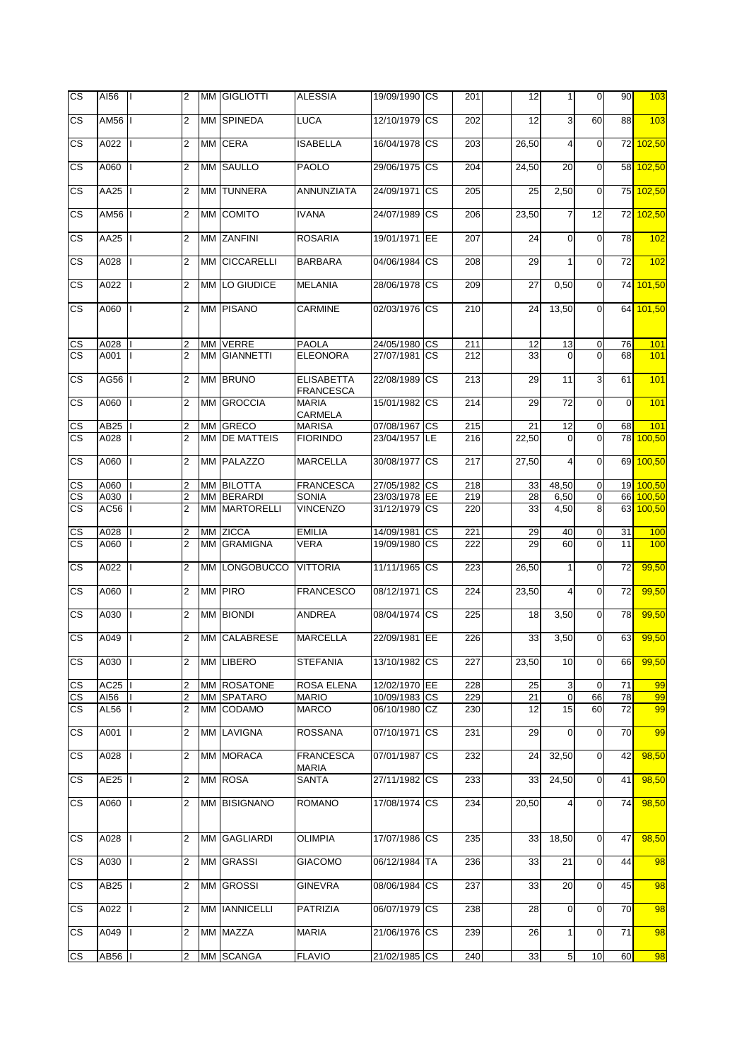| CS<br>СS<br>CS<br>СS<br>CS | AM56<br>A022<br>A060 | $\overline{2}$<br>$\overline{2}$ |      | MM SPINEDA           | <b>LUCA</b>                           | 12/10/1979    | <b>CS</b>  | 202 | 12    | 3              | 60             | 88              | 103                 |
|----------------------------|----------------------|----------------------------------|------|----------------------|---------------------------------------|---------------|------------|-----|-------|----------------|----------------|-----------------|---------------------|
|                            |                      |                                  |      |                      |                                       |               |            |     |       |                |                |                 |                     |
|                            |                      |                                  |      | MM CERA              | ISABELLA                              | 16/04/1978    | <b>CS</b>  | 203 | 26,50 | 4              | $\overline{0}$ | 72              | 102,50              |
|                            |                      | 2                                |      | MM SAULLO            | <b>PAOLO</b>                          | 29/06/1975 CS |            | 204 | 24,50 | 20             | $\overline{0}$ | 58              | 102,50              |
|                            | AA25                 | 2                                |      | MM TUNNERA           | ANNUNZIATA                            | 24/09/1971    | CS         | 205 | 25    | 2,50           | $\overline{0}$ | 75              | 102,50              |
|                            | AM56                 | $\overline{2}$                   |      | MM COMITO            | <b>IVANA</b>                          | 24/07/1989    | CS         | 206 | 23,50 | 7              | 12             | 72              | 102,50              |
| CS                         | AA25                 | $\overline{2}$                   |      | MM ZANFINI           | <b>ROSARIA</b>                        | 19/01/1971    | <b>IEE</b> | 207 | 24    | $\mathbf 0$    | $\overline{0}$ | 78              | 102                 |
| CS                         | A028                 | $\overline{2}$                   | MМ   | <b>CICCARELLI</b>    | <b>BARBARA</b>                        | 04/06/1984    | <b>CS</b>  | 208 | 29    | $\mathbf{1}$   | $\mathbf 0$    | 72              | 102                 |
| <b>CS</b>                  | A022                 | $\overline{2}$                   |      | MM LO GIUDICE        | <b>MELANIA</b>                        | 28/06/1978    | <b>CS</b>  | 209 | 27    | 0,50           | $\mathbf 0$    | 74              | 101,50              |
| <b>CS</b>                  | A060                 | $\overline{2}$                   |      | MM PISANO            | CARMINE                               | 02/03/1976 CS |            | 210 | 24    | 13,50          | $\mathbf 0$    | 64              | 101,50              |
| CS                         | A028                 | $\overline{2}$                   |      | MM VERRE             | <b>PAOLA</b>                          | 24/05/1980 CS |            | 211 | 12    | 13             | $\mathbf 0$    | 76              | 101                 |
| <b>CS</b>                  | A001                 | $\overline{2}$                   |      | MM GIANNETTI         | <b>ELEONORA</b>                       | 27/07/1981 CS |            | 212 | 33    | $\Omega$       | $\Omega$       | 68              | 101                 |
| <b>CS</b>                  | AG56                 | $\overline{2}$                   |      | MM BRUNO             | <b>ELISABETTA</b><br><b>FRANCESCA</b> | 22/08/1989    | CS         | 213 | 29    | 11             | 3              | 61              | 101                 |
| <b>CS</b>                  | A060                 | $\overline{2}$                   |      | MM GROCCIA           | <b>MARIA</b><br>CARMELA               | 15/01/1982    | <b>CS</b>  | 214 | 29    | 72             | $\overline{0}$ | $\overline{0}$  | 101                 |
| <u>CS</u>                  | AB25                 | 2                                | MM I | <b>GRECO</b>         | <b>MARISA</b>                         | 07/08/1967    | <b>CS</b>  | 215 | 21    | 12             | $\mathbf 0$    | 68              | 101                 |
| <b>CS</b>                  | A028                 | $\overline{2}$                   |      | <b>MM DE MATTEIS</b> | <b>FIORINDO</b>                       | 23/04/1957    | LE         | 216 | 22,50 | $\overline{0}$ | $\overline{0}$ | 78              | 100,50              |
| CS                         | A060                 | $\overline{2}$                   |      | MM PALAZZO           | <b>MARCELLA</b>                       | 30/08/1977 CS |            | 217 | 27,50 | 4              | $\Omega$       | 69              | 100,50              |
| CS                         | A060                 | 2                                |      | MM BILOTTA           | <b>FRANCESCA</b>                      | 27/05/1982 CS |            | 218 | 33    | 48,50          | $\overline{0}$ | 19              | 100,50              |
| $\overline{\text{cs}}$     | A030                 | $\overline{2}$                   |      | MM BERARDI           | <b>SONIA</b>                          | 23/03/1978 EE |            | 219 | 28    | 6,50           | $\mathbf 0$    | 66              | $\overline{100,50}$ |
| $\overline{\text{cs}}$     | AC56                 | $\overline{2}$                   |      | <b>MM MARTORELLI</b> | <b>VINCENZO</b>                       | 31/12/1979    | <b>CS</b>  | 220 | 33    | 4,50           | 8              | 63              | 100,50              |
| CS                         | A028                 | 2                                |      | MM ZICCA             | <b>EMILIA</b>                         | 14/09/1981    | <b>CS</b>  | 221 | 29    | 40             | $\mathbf 0$    | 31              | 100                 |
| $\overline{\text{cs}}$     | A060                 | $\overline{2}$                   |      | MM GRAMIGNA          | <b>VERA</b>                           | 19/09/1980 CS |            | 222 | 29    | 60             | $\Omega$       | 11              | 100                 |
| $\overline{\text{cs}}$     | A022                 | $\overline{2}$                   |      | MM LONGOBUCCO        | <b>VITTORIA</b>                       | 11/11/1965 CS |            | 223 | 26,50 | 1              | $\overline{0}$ | 72              | 99,50               |
| CS.                        | A060                 | $\overline{2}$                   |      | MM PIRO              | <b>FRANCESCO</b>                      | 08/12/1971    | <b>CS</b>  | 224 | 23,50 | 4              | $\overline{0}$ | 72              | 99,50               |
| CS                         | A030                 | $\overline{2}$                   |      | MM BIONDI            | ANDREA                                | 08/04/1974    | <b>CS</b>  | 225 | 18    | 3,50           | $\overline{0}$ | 78              | 99,50               |
| CS.                        | A049                 | $\overline{2}$                   |      | MM CALABRESE         | <b>MARCELLA</b>                       | 22/09/1981 EE |            | 226 | 33    | 3,50           | $\overline{0}$ | 63              | 99,50               |
| СS                         | A030                 | $\overline{2}$                   |      | MM LIBERO            | <b>STEFANIA</b>                       | 13/10/1982 CS |            | 227 | 23,50 | 10             | $\overline{0}$ | 66              | 99,50               |
| CS                         | AC25                 | $\overline{2}$                   |      | MM ROSATONE          | ROSA ELENA                            | 12/02/1970 EE |            | 228 | 25    | 3              | $\mathbf 0$    | 71              | 99                  |
| $\mathsf{CS}\,$            | AI56                 | $\overline{2}$                   |      | MM SPATARO           | <b>MARIO</b>                          | 10/09/1983 CS |            | 229 | 21    | $\pmb{0}$      | 66             | 78              | 99                  |
| CS.                        | AL56                 | $\overline{2}$                   |      | MM CODAMO            | <b>MARCO</b>                          | 06/10/1980 CZ |            | 230 | 12    | 15             | 60             | 72              | 99                  |
| СS                         | A001                 | 2                                |      | MM LAVIGNA           | <b>ROSSANA</b>                        | 07/10/1971 CS |            | 231 | 29    | $\overline{0}$ | $\overline{0}$ | 70              | 99                  |
| СS                         | A028                 | 2                                |      | MM MORACA            | <b>FRANCESCA</b>                      | 07/01/1987 CS |            | 232 | 24    | 32,50          | $\mathbf 0$    | 42              | 98,50               |
| СS                         | AE25                 | 2                                |      | MM ROSA              | MARIA<br><b>SANTA</b>                 | 27/11/1982 CS |            | 233 | 33    | 24,50          | $\mathbf 0$    | 41              | 98,50               |
| <b>CS</b>                  | A060                 | $\overline{2}$                   |      | MM BISIGNANO         | <b>ROMANO</b>                         | 17/08/1974 CS |            | 234 | 20,50 | 4              | $\overline{0}$ | 74              | 98,50               |
| CS.                        | A028                 | $\overline{2}$                   |      | MM GAGLIARDI         | <b>OLIMPIA</b>                        | 17/07/1986 CS |            | 235 | 33    | 18,50          | $\overline{0}$ | 47              | 98,50               |
| <b>CS</b>                  | A030                 | 2                                |      | MM GRASSI            | <b>GIACOMO</b>                        | 06/12/1984 TA |            | 236 | 33    | 21             | $\overline{0}$ | 44              | 98                  |
| СS                         | AB <sub>25</sub>     | $\overline{2}$                   |      | <b>MM GROSSI</b>     | <b>GINEVRA</b>                        | 08/06/1984 CS |            | 237 | 33    | 20             | $\mathbf 0$    | 45              | 98                  |
| <b>CS</b>                  | A022                 | $\overline{2}$                   |      | MM <b>IANNICELLI</b> | <b>PATRIZIA</b>                       | 06/07/1979 CS |            | 238 | 28    | $\overline{0}$ | $\overline{0}$ | 70              | 98                  |
| CS.                        | A049                 | $\overline{2}$                   |      | MM MAZZA             | <b>MARIA</b>                          | 21/06/1976 CS |            | 239 | 26    | $\mathbf{1}$   | $\overline{0}$ | $\overline{71}$ | 98                  |
| <b>CS</b>                  | AB56                 | $\overline{2}$                   |      | MM SCANGA            | <b>FLAVIO</b>                         | 21/02/1985 CS |            | 240 | 33    | 5              | 10             | 60              | $\frac{98}{2}$      |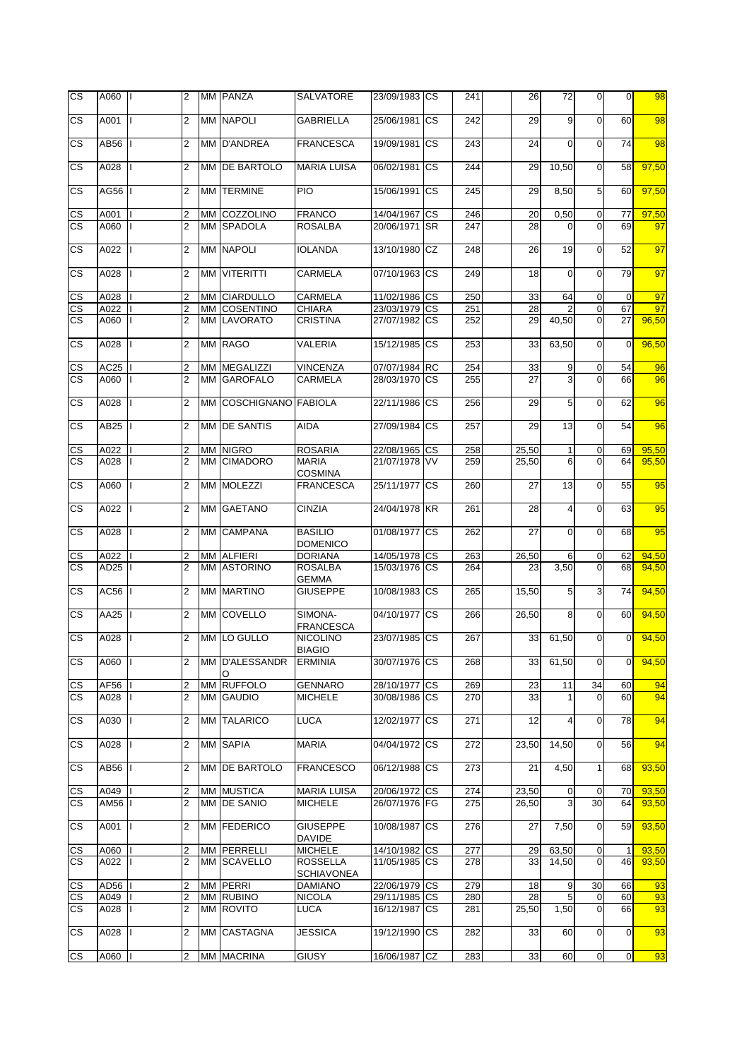| <b>CS</b>                | A060 II          |   | 2              |    | MM PANZA               | <b>SALVATORE</b>                     | 23/09/1983 ICS |           | 241 | 26    | 72             | $\overline{0}$ | $\mathbf 0$    | 98    |
|--------------------------|------------------|---|----------------|----|------------------------|--------------------------------------|----------------|-----------|-----|-------|----------------|----------------|----------------|-------|
| CS                       | A001             |   | $\overline{2}$ |    | <b>MM NAPOLI</b>       | <b>GABRIELLA</b>                     | 25/06/1981     | <b>CS</b> | 242 | 29    | 9              | $\Omega$       | 60             | 98    |
| СS                       | AB56             |   | $\overline{2}$ |    | MM D'ANDREA            | <b>FRANCESCA</b>                     | 19/09/1981     | <b>CS</b> | 243 | 24    | $\mathbf 0$    | $\overline{0}$ | 74             | 98    |
| <b>CS</b>                | A028             |   | 2              |    | <b>MM IDE BARTOLO</b>  | <b>MARIA LUISA</b>                   | 06/02/1981 CS  |           | 244 | 29    | 10,50          | $\Omega$       | 58             | 97.50 |
| СS                       | AG56             |   | 2              |    | MM TERMINE             | PIO                                  | 15/06/1991     | <b>CS</b> | 245 | 29    | 8,50           | 5              | 60             | 97,50 |
| CS                       | A001             |   | 2              |    | MM COZZOLINO           | <b>FRANCO</b>                        | 14/04/1967     | <b>CS</b> | 246 | 20    | 0,50           | $\overline{0}$ | 77             | 97,50 |
| $\overline{\text{cs}}$   | A060             |   | $\overline{2}$ |    | MM SPADOLA             | <b>ROSALBA</b>                       | 20/06/1971     | <b>SR</b> | 247 | 28    | 0              | $\Omega$       | 69             | 97    |
| <b>CS</b>                | A022             |   | $\overline{2}$ |    | <b>MM NAPOLI</b>       | <b>IOLANDA</b>                       | 13/10/1980 CZ  |           | 248 | 26    | 19             | $\mathbf 0$    | 52             | 97    |
| CS                       | A028             |   | $\overline{2}$ |    | MM VITERITTI           | <b>CARMELA</b>                       | 07/10/1963     | <b>CS</b> | 249 | 18    | $\mathbf 0$    | $\Omega$       | 79             | 97    |
| CS                       | A028             |   | 2              |    | MM CIARDULLO           | CARMELA                              | 11/02/1986 CS  |           | 250 | 33    | 64             | $\mathbf 0$    | $\mathbf 0$    | 97    |
| $\overline{\text{cs}}$   | A022             |   | $\overline{2}$ |    | MM COSENTINO           | <b>CHIARA</b>                        | 23/03/1979 CS  |           | 251 | 28    | $\overline{2}$ | $\mathbf 0$    | 67             | 97    |
| <b>CS</b>                | A060             |   | $\overline{2}$ |    | MM LAVORATO            | <b>CRISTINA</b>                      | 27/07/1982     | СS        | 252 | 29    | 40,50          | $\overline{0}$ | 27             | 96,50 |
|                          |                  |   |                |    |                        |                                      |                |           |     |       |                |                |                |       |
| <b>CS</b>                | A028             |   | $\overline{2}$ |    | MM RAGO                | VALERIA                              | 15/12/1985     | <b>CS</b> | 253 | 33    | 63,50          | $\mathbf 0$    | $\Omega$       | 96,50 |
| <u>CS</u>                | AC25             |   | $\overline{2}$ | MM | <b>MEGALIZZI</b>       | <b>VINCENZA</b>                      | 07/07/1984     | <b>RC</b> | 254 | 33    | 9              | $\mathbf 0$    | 54             | 96    |
| $\overline{\text{cs}}$   | A060             |   | $\overline{2}$ |    | MM GAROFALO            | CARMELA                              | 28/03/1970     | <b>CS</b> | 255 | 27    | 3              | $\Omega$       | 66             | 96    |
| <b>CS</b>                | A028             |   | $\overline{2}$ |    | MM COSCHIGNANO FABIOLA |                                      | 22/11/1986     | <b>CS</b> | 256 | 29    | 5              | $\mathbf 0$    | 62             | 96    |
| CS                       | AB25             |   | $\overline{2}$ |    | MM DE SANTIS           | <b>AIDA</b>                          | 27/09/1984     | <b>CS</b> | 257 | 29    | 13             | $\mathbf 0$    | 54             | 96    |
| $\mathsf{CS}\phantom{0}$ | A022             |   | $\overline{2}$ | МM | <b>NIGRO</b>           | <b>ROSARIA</b>                       | 22/08/1965     | <b>CS</b> | 258 | 25,50 | $\mathbf{1}$   | $\mathbf 0$    | 69             | 95,50 |
| <b>CS</b>                | A028             |   | $\overline{2}$ | MМ | <b>CIMADORO</b>        | <b>MARIA</b>                         | 21/07/1978     | <b>VV</b> | 259 | 25,50 | 6              | $\Omega$       | 64             | 95,50 |
| СS                       | A060             |   | 2              |    | MM MOLEZZI             | <b>COSMINA</b><br><b>FRANCESCA</b>   | 25/11/1977     | <b>CS</b> | 260 | 27    | 13             | $\overline{0}$ | 55             | 95    |
|                          |                  |   |                |    |                        |                                      |                |           |     |       |                |                |                |       |
| CS                       | A022             |   | $\overline{2}$ |    | MM GAETANO             | <b>CINZIA</b>                        | 24/04/1978 KR  |           | 261 | 28    | 4              | $\mathbf 0$    | 63             | 95    |
| CS                       | A028             |   | $\overline{2}$ |    | MM CAMPANA             | <b>BASILIO</b><br><b>DOMENICO</b>    | 01/08/1977     | <b>CS</b> | 262 | 27    | $\mathbf 0$    | $\mathbf 0$    | 68             | 95    |
| CS                       | A022             |   | $\overline{2}$ |    | MM ALFIERI             | <b>DORIANA</b>                       | 14/05/1978     | СS        | 263 | 26,50 | 6              | $\Omega$       | 62             | 94,50 |
| $\overline{\text{cs}}$   | AD <sub>25</sub> |   | $\overline{2}$ |    | MM ASTORINO            | <b>ROSALBA</b><br><b>GEMMA</b>       | 15/03/1976     | CS        | 264 | 23    | 3,50           | $\Omega$       | 68             | 94,50 |
| CS                       | AC56             |   | $\overline{2}$ |    | <b>MM MARTINO</b>      | <b>GIUSEPPE</b>                      | 10/08/1983     | <b>CS</b> | 265 | 15,50 | 5              | 3              | 74             | 94.50 |
| CS                       | <b>AA25</b>      |   | $\overline{2}$ |    | MM COVELLO             | SIMONA-<br><b>FRANCESCA</b>          | 04/10/1977     | CS        | 266 | 26,50 | 8              | $\mathbf 0$    | 60             | 94,50 |
| CS                       | A028             |   | $\overline{2}$ |    | MM LO GULLO            | <b>NICOLINO</b><br><b>BIAGIO</b>     | 23/07/1985     | <b>CS</b> | 267 | 33    | 61,50          | $\mathbf 0$    | $\Omega$       | 94,50 |
| СS                       | A060   I         |   | $\overline{2}$ |    | MM D'ALESSANDR<br>O    | <b>ERMINIA</b>                       | 30/07/1976 CS  |           | 268 | 33    | 61,50          | $\overline{0}$ | $\overline{0}$ | 94,50 |
| CS                       | AF56             |   | $\overline{2}$ |    | MM RUFFOLO             | <b>GENNARO</b>                       | 28/10/1977     | <b>CS</b> | 269 | 23    | 11             | 34             | 60             | 94    |
| <b>CS</b>                | A028             |   | $\overline{2}$ |    | MM GAUDIO              | <b>MICHELE</b>                       | 30/08/1986 CS  |           | 270 | 33    | $\mathbf{1}$   | $\overline{0}$ | 60             | 94    |
| CS.                      | A030             |   | $\overline{2}$ |    | MM TALARICO            | <b>LUCA</b>                          | 12/02/1977     | <b>CS</b> | 271 | 12    | 4              | $\overline{0}$ | 78             | 94    |
| CS.                      | A028             |   | $\overline{2}$ |    | MM SAPIA               | <b>MARIA</b>                         | 04/04/1972 CS  |           | 272 | 23,50 | 14,50          | $\overline{0}$ | 56             | 94    |
| <b>CS</b>                | AB56             |   | 2              |    | MM DE BARTOLO          | <b>FRANCESCO</b>                     | 06/12/1988     | <b>CS</b> | 273 | 21    | 4,50           | $\mathbf{1}$   | 68             | 93,50 |
| CS                       | A049             |   | 2              |    | MM MUSTICA             | <b>MARIA LUISA</b>                   | 20/06/1972 CS  |           | 274 | 23,50 | $\overline{0}$ | $\mathbf 0$    | 70             | 93,50 |
| CS.                      | AM56             |   | $\overline{2}$ |    | MM DE SANIO            | <b>MICHELE</b>                       | 26/07/1976 FG  |           | 275 | 26,50 | 3              | 30             | 64             | 93,50 |
| СS                       | A001             | L | $\overline{2}$ |    | MM FEDERICO            | <b>GIUSEPPE</b><br><b>DAVIDE</b>     | 10/08/1987     | CS        | 276 | 27    | 7,50           | $\overline{0}$ | 59             | 93,50 |
| CS                       | A060             |   | 2              |    | MM PERRELLI            | <b>MICHELE</b>                       | 14/10/1982 CS  |           | 277 | 29    | 63,50          | $\mathbf 0$    | 1              | 93,50 |
| $\overline{\text{cs}}$   | A022             |   | 2              |    | MM SCAVELLO            | <b>ROSSELLA</b><br><b>SCHIAVONEA</b> | 11/05/1985 CS  |           | 278 | 33    | 14,50          | $\Omega$       | 46             | 93,50 |
| CS                       | AD56             |   | 2              |    | MM PERRI               | <b>DAMIANO</b>                       | 22/06/1979 CS  |           | 279 | 18    | 9              | 30             | 66             | 93    |
| CS                       | A049             |   | $\overline{2}$ |    | MM RUBINO              | <b>NICOLA</b>                        | 29/11/1985 CS  |           | 280 | 28    | 5              | $\mathbf 0$    | 60             | 93    |
| $\overline{\text{cs}}$   | A028             |   | $\overline{2}$ |    | MM ROVITO              | <b>LUCA</b>                          | 16/12/1987     | CS        | 281 | 25,50 | 1,50           | $\overline{0}$ | 66             | 93    |
| CS.                      | A028             |   | $\overline{2}$ |    | MM CASTAGNA            | <b>JESSICA</b>                       | 19/12/1990     | <b>CS</b> | 282 | 33    | 60             | $\overline{0}$ | $\mathbf 0$    | 93    |
| <b>CS</b>                | A060             |   | $\overline{2}$ |    | MM MACRINA             | <b>GIUSY</b>                         | 16/06/1987 CZ  |           | 283 | 33    | 60             | $\overline{0}$ | $\overline{0}$ | 93    |
|                          |                  |   |                |    |                        |                                      |                |           |     |       |                |                |                |       |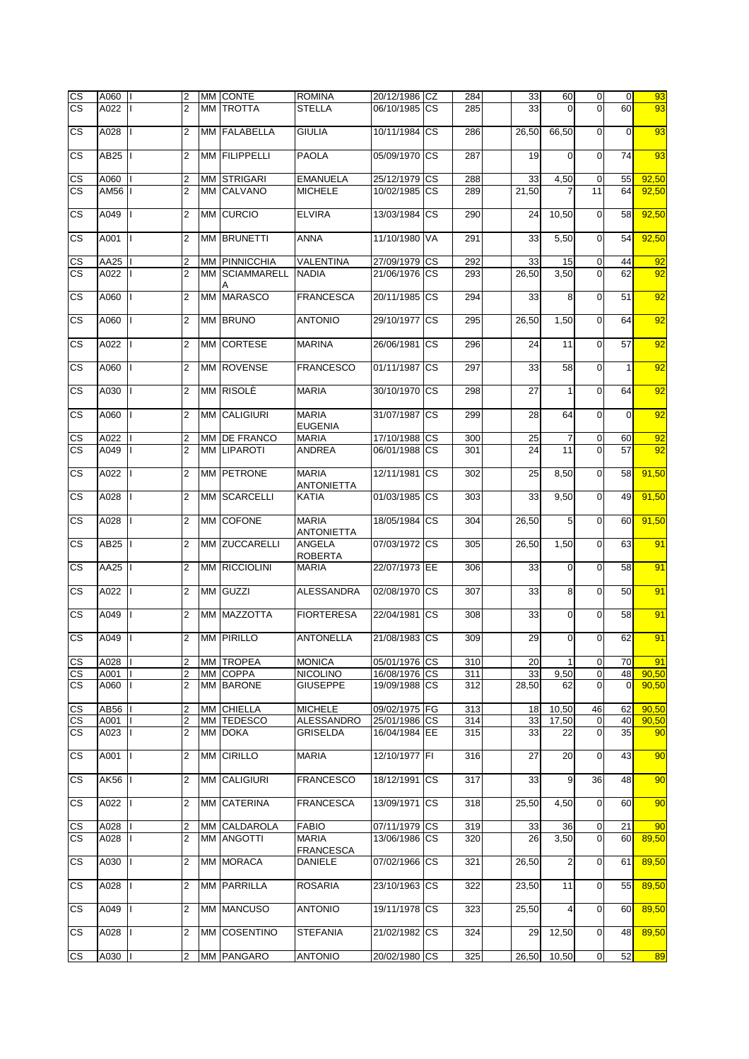| $\mathsf{CS}\,$                       | A060        |     | $\overline{2}$                   | MM CONTE              | <b>ROMINA</b>                      | 20/12/1986 CZ |           | 284 | 33    | 60                      | $\overline{0}$             | $\overline{0}$ | 93    |
|---------------------------------------|-------------|-----|----------------------------------|-----------------------|------------------------------------|---------------|-----------|-----|-------|-------------------------|----------------------------|----------------|-------|
| <b>CS</b>                             | A022        |     | $\overline{2}$                   | <b>MM TROTTA</b>      | <b>STELLA</b>                      | 06/10/1985    | <b>CS</b> | 285 | 33    | $\Omega$                | $\Omega$                   | 60             | 93    |
| $\overline{\text{cs}}$                | A028        |     | $\overline{2}$                   | MM FALABELLA          | <b>GIULIA</b>                      | 10/11/1984    | <b>CS</b> | 286 | 26,50 | 66,50                   | $\mathbf 0$                | $\mathbf 0$    | 93    |
| CS                                    | AB25        |     | $\overline{2}$                   | MM FILIPPELLI         | <b>PAOLA</b>                       | 05/09/1970    | <b>CS</b> | 287 | 19    | $\mathbf 0$             | $\mathbf 0$                | 74             | 93    |
|                                       |             |     |                                  |                       |                                    |               |           |     |       |                         |                            |                |       |
| CS                                    | A060        |     | 2                                | <b>MM STRIGARI</b>    | <b>EMANUELA</b>                    | 25/12/1979    | <b>CS</b> | 288 | 33    | 4,50                    | $\mathbf 0$                | 55             | 92,50 |
| $\overline{\text{cs}}$                | AM56        |     | $\overline{2}$                   | MM CALVANO            | <b>MICHELE</b>                     | 10/02/1985    | <b>CS</b> | 289 | 21,50 |                         | 11                         | 64             | 92,50 |
|                                       |             |     |                                  |                       |                                    |               |           |     |       |                         |                            |                |       |
| CS                                    | A049        |     | $\overline{2}$                   | MM CURCIO             | <b>ELVIRA</b>                      | 13/03/1984    | <b>CS</b> | 290 | 24    | 10,50                   | $\overline{0}$             | 58             | 92,50 |
| CS                                    | A001        |     | $\overline{2}$                   | MM BRUNETTI           | <b>ANNA</b>                        | 11/10/1980    | VA        | 291 | 33    | 5,50                    | $\Omega$                   | 54             | 92,50 |
| <b>CS</b>                             | AA25        |     | $\overline{2}$                   | <b>MM PINNICCHIA</b>  | <b>VALENTINA</b>                   | 27/09/1979    | <b>CS</b> | 292 | 33    | 15                      | $\mathbf 0$                | 44             | 92    |
| $\overline{\text{cs}}$                | A022        |     | $\overline{2}$                   | <b>MM SCIAMMARELL</b> | <b>NADIA</b>                       | 21/06/1976    | <b>CS</b> | 293 | 26,50 | 3,50                    | $\mathbf 0$                | 62             | 92    |
| <b>CS</b>                             | A060        |     | $\overline{2}$                   | MM MARASCO            | <b>FRANCESCA</b>                   | 20/11/1985    | <b>CS</b> | 294 | 33    | 8                       | $\mathbf 0$                | 51             | 92    |
| <b>CS</b>                             | A060        |     | $\overline{2}$                   | <b>MM BRUNO</b>       | <b>ANTONIO</b>                     | 29/10/1977    | <b>CS</b> | 295 | 26,50 | 1,50                    | $\Omega$                   | 64             | 92    |
| <b>CS</b>                             | A022        |     | $\overline{2}$                   | MM CORTESE            | <b>MARINA</b>                      | 26/06/1981    | <b>CS</b> | 296 | 24    | 11                      | $\mathbf 0$                | 57             | 92    |
| <b>CS</b>                             | A060        |     | $\overline{2}$                   | MM ROVENSE            | <b>FRANCESCO</b>                   | 01/11/1987    | <b>CS</b> | 297 | 33    | 58                      | $\mathbf 0$                | $\mathbf{1}$   | 92    |
| <b>CS</b>                             | A030        |     | $\overline{2}$                   | MM RISOLÈ             | <b>MARIA</b>                       | 30/10/1970 CS |           | 298 | 27    | 1                       | $\mathbf 0$                | 64             | 92    |
| <b>CS</b>                             | A060        |     | $\overline{2}$                   | MM CALIGIURI          | <b>MARIA</b>                       | 31/07/1987    | <b>CS</b> | 299 | 28    | 64                      | $\Omega$                   | $\Omega$       | 92    |
|                                       |             |     |                                  |                       | <b>EUGENIA</b>                     |               |           |     |       |                         |                            |                |       |
| <u>CS</u>                             | A022        |     | 2                                | MM DE FRANCO          | <b>MARIA</b>                       | 17/10/1988 CS |           | 300 | 25    | 7                       | $\mathbf 0$                | 60             | 92    |
| $\overline{\text{cs}}$                | A049        |     | $\overline{2}$                   | MM LIPAROTI           | <b>ANDREA</b>                      | 06/01/1988    | <b>CS</b> | 301 | 24    | 11                      | $\overline{0}$             | 57             | 92    |
| CS                                    | A022        |     | $\overline{2}$                   | MM PETRONE            | <b>MARIA</b><br><b>ANTONIETTA</b>  | 12/11/1981    | <b>CS</b> | 302 | 25    | 8,50                    | $\mathbf 0$                | 58             | 91,50 |
| CS                                    | A028        |     | $\overline{2}$                   | MM SCARCELLI          | <b>KATIA</b>                       | 01/03/1985    | <b>CS</b> | 303 | 33    | 9,50                    | $\mathbf 0$                | 49             | 91,50 |
| <b>CS</b>                             | A028        |     | $\overline{2}$                   | MM COFONE             | <b>MARIA</b><br><b>ANTONIETTA</b>  | 18/05/1984 CS |           | 304 | 26,50 | 5                       | $\Omega$                   | 60             | 91,50 |
| CS                                    | AB25        |     | 2                                | MM ZUCCARELLI         | ANGELA<br><b>ROBERTA</b>           | 07/03/1972    | <b>CS</b> | 305 | 26,50 | 1,50                    | $\overline{0}$             | 63             | 91    |
| $\overline{\text{cs}}$                | <b>AA25</b> |     | $\overline{2}$                   | MM RICCIOLINI         | <b>MARIA</b>                       | 22/07/1973 EE |           | 306 | 33    | 0                       | $\mathbf 0$                | 58             | 91    |
| CS                                    | A022        |     | $\overline{2}$                   | MM GUZZI              | <b>ALESSANDRA</b>                  | 02/08/1970    | <b>CS</b> | 307 | 33    | 8                       | $\mathbf 0$                | 50             | 91    |
| CS                                    | A049        |     | $\overline{2}$                   | MM MAZZOTTA           | <b>FIORTERESA</b>                  | 22/04/1981    | <b>CS</b> | 308 | 33    | $\overline{O}$          | $\Omega$                   | 58             | 91    |
| CS                                    | A049        |     | 2                                | <b>MM PIRILLO</b>     | <b>ANTONELLA</b>                   | 21/08/1983    | <b>CS</b> | 309 | 29    | $\mathbf 0$             | $\mathbf 0$                | 62             | 91    |
|                                       | A028        |     |                                  | MM TROPEA             | <b>MONICA</b>                      | 05/01/1976 CS |           | 310 | 20    | $\mathbf{1}$            | $\overline{0}$             | 70             | 91    |
| <b>CS</b><br>$\mathsf{CS}\phantom{0}$ | A001        |     | $\overline{2}$<br>$\overline{2}$ | MM COPPA              | <b>NICOLINO</b>                    | 16/08/1976 CS |           | 311 | 33    | 9,50                    | $\overline{0}$             | 48             | 90,50 |
| <b>CS</b>                             | A060        |     | 2                                | MM BARONE             | <b>GIUSEPPE</b>                    | 19/09/1988 CS |           | 312 | 28,50 | 62                      | $\overline{0}$             | $\mathbf 0$    | 90,50 |
|                                       |             |     |                                  |                       |                                    |               |           |     |       |                         |                            |                |       |
| $\mathsf{CS}\,$                       | AB56        |     | 2                                | MM CHIELLA            | <b>MICHELE</b>                     | 09/02/1975 FG |           | 313 | 18    | 10,50                   | 46                         | 62             | 90,50 |
| $\mathsf{CS}\phantom{0}$<br><b>CS</b> | A001        |     | $\overline{2}$                   | MM TEDESCO            | ALESSANDRO                         | 25/01/1986 CS |           | 314 | 33    | 17,50                   | $\mathbf 0$<br>$\mathbf 0$ | 40             | 90,50 |
|                                       | A023        |     | 2                                | MM DOKA               | <b>GRISELDA</b>                    | 16/04/1984 EE |           | 315 | 33    | 22                      |                            | 35             | 90    |
| CS                                    | A001        | IL. | $\overline{2}$                   | MM CIRILLO            | <b>MARIA</b>                       | 12/10/1977 FI |           | 316 | 27    | 20                      | $\mathbf 0$                | 43             | 90    |
| CS.                                   | AK56        |     | $\overline{c}$                   | MM CALIGIURI          | <b>FRANCESCO</b>                   | 18/12/1991    | <b>CS</b> | 317 | 33    | 9                       | 36                         | 48             | 90    |
| CS.                                   | A022        |     | $\overline{2}$                   | MM CATERINA           | <b>FRANCESCA</b>                   | 13/09/1971    | <b>CS</b> | 318 | 25,50 | 4,50                    | $\overline{0}$             | 60             | 90    |
| <u>CS</u>                             | A028        |     | 2                                | MM CALDAROLA          | <b>FABIO</b>                       | 07/11/1979 CS |           | 319 | 33    | 36                      | $\mathbf 0$                | 21             | 90    |
| <b>CS</b>                             | A028        |     | 2                                | MM ANGOTTI            | <b>MARIA</b>                       | 13/06/1986 CS |           | 320 | 26    | 3,50                    | $\mathbf 0$                | 60             | 89,50 |
| <b>CS</b>                             | A030        |     | 2                                | MM MORACA             | <b>FRANCESCA</b><br><b>DANIELE</b> | 07/02/1966    | <b>CS</b> | 321 | 26,50 | $\overline{\mathbf{c}}$ | $\mathbf 0$                | 61             | 89,50 |
| CS.                                   | A028        |     | $\overline{2}$                   | MM PARRILLA           | <b>ROSARIA</b>                     | 23/10/1963    | <b>CS</b> | 322 | 23,50 | 11                      | $\overline{0}$             | 55             | 89,50 |
| CS.                                   | A049        |     | 2                                | MM MANCUSO            | <b>ANTONIO</b>                     | 19/11/1978 CS |           | 323 | 25,50 | 4                       | $\overline{0}$             | 60             | 89,50 |
| СS                                    | A028        |     | 2                                | MM COSENTINO          | <b>STEFANIA</b>                    | 21/02/1982 CS |           | 324 | 29    | 12,50                   | $\mathbf 0$                | 48             | 89,50 |
| <b>CS</b>                             | A030        |     | 2                                | MM PANGARO            | <b>ANTONIO</b>                     | 20/02/1980 CS |           | 325 | 26,50 | 10,50                   | $\mathbf 0$                | 52             | 89    |
|                                       |             |     |                                  |                       |                                    |               |           |     |       |                         |                            |                |       |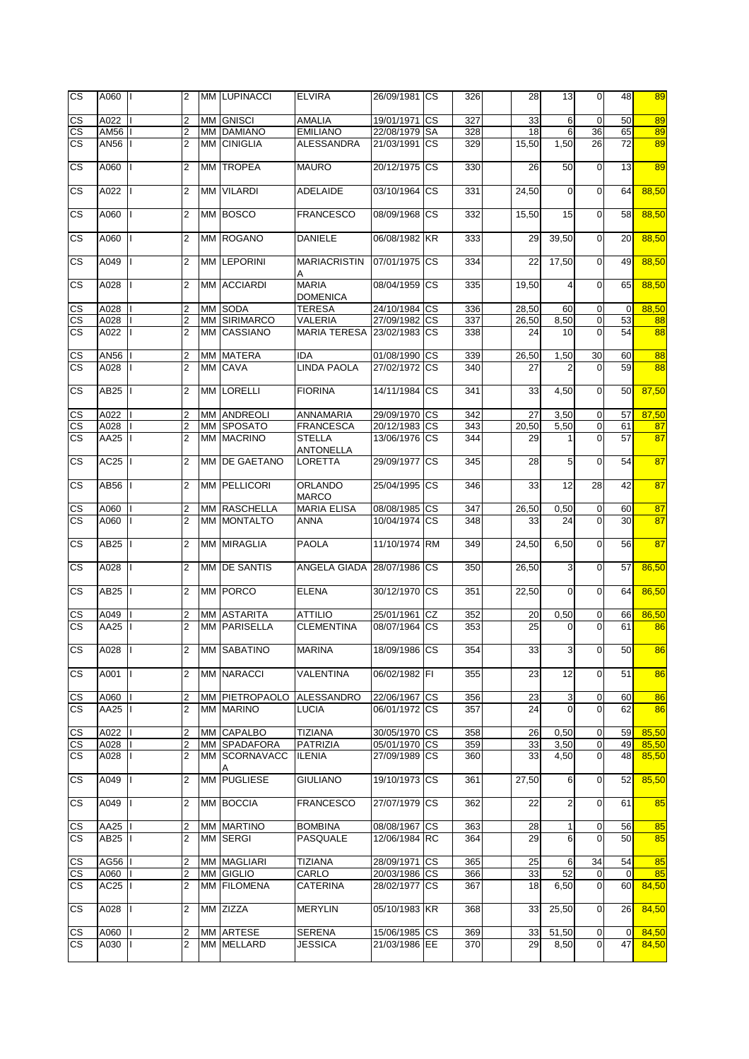| $\overline{\text{cs}}$   | A060             |              | $\overline{2}$          |    | MM LUPINACCI        | <b>ELVIRA</b>                     | 26/09/1981 CS |           | 326 | 28    | 13             | $\overline{0}$  | 48          | 89    |
|--------------------------|------------------|--------------|-------------------------|----|---------------------|-----------------------------------|---------------|-----------|-----|-------|----------------|-----------------|-------------|-------|
| CS                       | A022             |              | 2                       |    | <b>MM</b> GNISCI    | <b>AMALIA</b>                     | 19/01/1971 CS |           | 327 | 33    | 6              | $\mathbf 0$     | 50          | 89    |
| $\overline{\text{cs}}$   | AM56             |              | $\overline{2}$          |    | <b>MM DAMIANO</b>   | <b>EMILIANO</b>                   | 22/08/1979    | <b>SA</b> | 328 | 18    | 6              | 36              | 65          | 89    |
| $\overline{\text{cs}}$   | AN56             |              | $\overline{2}$          |    | MM CINIGLIA         | <b>ALESSANDRA</b>                 | 21/03/1991    | <b>CS</b> | 329 | 15,50 | 1,50           | 26              | 72          | 89    |
| CS                       | A060             |              | $\overline{2}$          | MM | <b>TROPEA</b>       | <b>MAURO</b>                      | 20/12/1975    | <b>CS</b> | 330 | 26    | 50             | $\overline{0}$  | 13          | 89    |
| $\overline{\text{cs}}$   | A022             |              | $\overline{2}$          | МM | <b>VILARDI</b>      | ADELAIDE                          | 03/10/1964    | <b>CS</b> | 331 | 24,50 | 0              | $\mathbf 0$     | 64          | 88,50 |
| CS                       | A060             |              | $\overline{2}$          |    | MM BOSCO            | <b>FRANCESCO</b>                  | 08/09/1968    | <b>CS</b> | 332 | 15,50 | 15             | $\overline{0}$  | 58          | 88,50 |
| $\overline{\text{cs}}$   | A060             |              | $\overline{2}$          |    | MM ROGANO           | <b>DANIELE</b>                    | 06/08/1982 KR |           | 333 | 29    | 39,50          | $\overline{0}$  | 20          | 88,50 |
| CS                       | A049             |              | $\overline{2}$          |    | MM LEPORINI         | <b>MARIACRISTIN</b><br>Α          | 07/01/1975    | <b>CS</b> | 334 | 22    | 17,50          | $\overline{0}$  | 49          | 88,50 |
| CS                       | A028             |              | $\overline{2}$          |    | MM ACCIARDI         | <b>MARIA</b><br><b>DOMENICA</b>   | 08/04/1959    | <b>CS</b> | 335 | 19,50 | 4              | $\mathbf 0$     | 65          | 88,50 |
| CS                       | A028             |              | 2                       |    | MM SODA             | <b>TERESA</b>                     | 24/10/1984 CS |           | 336 | 28,50 | 60             | $\mathbf 0$     | $\mathbf 0$ | 88,50 |
| $\overline{\text{cs}}$   | A028             |              | $\overline{2}$          |    | MM SIRIMARCO        | VALERIA                           | 27/09/1982    | <b>CS</b> | 337 | 26,50 | 8,50           | $\overline{0}$  | 53          | 88    |
| <b>CS</b>                | A022             |              | $\overline{2}$          |    | MM CASSIANO         | <b>MARIA TERESA</b>               | 23/02/1983 CS |           | 338 | 24    | 10             | $\Omega$        | 54          | 88    |
| $\mathsf{CS}\,$          | AN56             |              | 2                       |    | MM MATERA           | <b>IDA</b>                        | 01/08/1990    | <b>CS</b> | 339 | 26,50 | 1,50           | 30              | 60          | 88    |
| <b>CS</b>                | A028             |              | $\overline{2}$          |    | MM CAVA             | <b>LINDA PAOLA</b>                | 27/02/1972 CS |           | 340 | 27    | $\overline{2}$ | $\overline{0}$  | 59          | 88    |
| <b>CS</b>                | AB25             |              | $\overline{2}$          |    | MM LORELLI          | <b>FIORINA</b>                    | 14/11/1984    | <b>CS</b> | 341 | 33    | 4,50           | $\overline{0}$  | 50          | 87,50 |
| CS                       | A022             |              | 2                       |    | MM ANDREOLI         | ANNAMARIA                         | 29/09/1970 CS |           | 342 | 27    | 3,50           | $\mathbf 0$     | 57          | 87,50 |
| $\mathsf{CS}\,$          | A028             |              | $\overline{2}$          |    | MM SPOSATO          | <b>FRANCESCA</b>                  | 20/12/1983 CS |           | 343 | 20,50 | 5,50           | $\mathbf 0$     | 61          | 87    |
| $\overline{\text{cs}}$   | AA25             |              | $\overline{2}$          |    | MM MACRINO          | <b>STELLA</b><br><b>ANTONELLA</b> | 13/06/1976    | CS        | 344 | 29    | 1              | $\mathbf 0$     | 57          | 87    |
| <b>CS</b>                | AC25             |              | $\overline{2}$          | MM | DE GAETANO          | LORETTA                           | 29/09/1977    | <b>CS</b> | 345 | 28    | 5              | $\mathbf 0$     | 54          | 87    |
| CS                       | AB56             |              | $\overline{2}$          | MM | PELLICORI           | <b>ORLANDO</b><br><b>MARCO</b>    | 25/04/1995    | CS        | 346 | 33    | 12             | $\overline{28}$ | 42          | 87    |
| CS                       | A060             |              | $\overline{2}$          | MМ | <b>RASCHELLA</b>    | <b>MARIA ELISA</b>                | 08/08/1985    | <b>CS</b> | 347 | 26,50 | 0,50           | $\overline{0}$  | 60          | 87    |
| <b>CS</b>                | A060             |              | $\overline{2}$          | MМ | <b>MONTALTO</b>     | ANNA                              | 10/04/1974    | <b>CS</b> | 348 | 33    | 24             | $\Omega$        | 30          | 87    |
| CS                       | AB25             |              | 2                       |    | MM MIRAGLIA         | <b>PAOLA</b>                      | 11/10/1974    | <b>RM</b> | 349 | 24,50 | 6,50           | $\overline{0}$  | 56          | 87    |
| $\overline{\text{cs}}$   | A028             |              | $\overline{2}$          |    | MM DE SANTIS        | ANGELA GIADA                      | 28/07/1986    | <b>CS</b> | 350 | 26,50 | 3              | $\mathbf 0$     | 57          | 86,50 |
| CS                       | AB25             |              | $\overline{2}$          |    | MM PORCO            | <b>ELENA</b>                      | 30/12/1970    | <b>CS</b> | 351 | 22,50 | $\mathbf 0$    | $\overline{0}$  | 64          | 86.50 |
| $\mathsf{CS}\phantom{0}$ | A049             |              | 2                       | МM | <b>ASTARITA</b>     | <b>ATTILIO</b>                    | 25/01/1961    | CZ        | 352 | 20    | 0,50           | $\overline{0}$  | 66          | 86,50 |
| $\overline{\text{cs}}$   | AA25             |              | $\overline{2}$          |    | <b>MM PARISELLA</b> | <b>CLEMENTINA</b>                 | 08/07/1964    | <b>CS</b> | 353 | 25    | 0              | $\Omega$        | 61          | 86    |
| $\overline{\text{cs}}$   | A028   I         |              | $\overline{2}$          |    | MM SABATINO         | <b>MARINA</b>                     | 18/09/1986 CS |           | 354 | 33    | 3              | $\overline{0}$  | 50          | 86    |
| CS                       | A001             | $\mathsf{I}$ | $\overline{2}$          |    | MM NARACCI          | VALENTINA                         | 06/02/1982 FI |           | 355 | 23    | 12             | $\mathbf 0$     | 51          | 86    |
| СS                       | A060             |              | $\overline{2}$          |    | MM PIETROPAOLO      | <b>ALESSANDRO</b>                 | 22/06/1967 CS |           | 356 | 23    | 3              | $\mathbf 0$     | 60          | 86    |
| CS.                      | AA25             |              | $\overline{2}$          |    | MM MARINO           | LUCIA                             | 06/01/1972 CS |           | 357 | 24    | $\Omega$       | $\Omega$        | 62          | 86    |
| $\mathsf{CS}\,$          | A022             |              | 2                       |    | MM CAPALBO          | <b>TIZIANA</b>                    | 30/05/1970 CS |           | 358 | 26    | 0,50           | $\mathbf 0$     | 59          | 85,50 |
| CS                       | A028             |              | $\overline{2}$          |    | <b>MM SPADAFORA</b> | <b>PATRIZIA</b>                   | 05/01/1970 CS |           | 359 | 33    | 3,50           | $\mathbf 0$     | 49          | 85,50 |
| <b>CS</b>                | A028             |              | $\overline{2}$          |    | MM SCORNAVACC       | <b>ILENIA</b>                     | 27/09/1989    | <b>CS</b> | 360 | 33    | 4,50           | $\mathbf 0$     | 48          | 85,50 |
| CS.                      | A049             |              | $\overline{2}$          |    | MM PUGLIESE         | <b>GIULIANO</b>                   | 19/10/1973    | <b>CS</b> | 361 | 27,50 | 6              | $\overline{0}$  | 52          | 85,50 |
| CS.                      | A049             |              | $\overline{2}$          |    | MM BOCCIA           | <b>FRANCESCO</b>                  | 27/07/1979    | <b>CS</b> | 362 | 22    | $\overline{2}$ | $\overline{0}$  | 61          | 85    |
| CS                       | AA25             |              | $\overline{\mathbf{c}}$ |    | <b>MM MARTINO</b>   | <b>BOMBINA</b>                    | 08/08/1967    | <b>CS</b> | 363 | 28    | 1              | $\mathbf 0$     | 56          | 85    |
| <b>CS</b>                | AB <sub>25</sub> |              | 2                       |    | MM SERGI            | PASQUALE                          | 12/06/1984 RC |           | 364 | 29    | 6              | $\overline{0}$  | 50          | 85    |
| CS                       | AG56             |              | 2                       |    | MM MAGLIARI         | <b>TIZIANA</b>                    | 28/09/1971    | <b>CS</b> | 365 | 25    | 6              | 34              | 54          | 85    |
| <b>CS</b>                | A060             |              | $\overline{2}$          |    | MM GIGLIO           | CARLO                             | 20/03/1986 CS |           | 366 | 33    | 52             | $\overline{0}$  | $\mathbf 0$ | 85    |
| CS.                      | AC25             |              | $\overline{2}$          |    | MM FILOMENA         | <b>CATERINA</b>                   | 28/02/1977    | СS        | 367 | 18    | 6,50           | $\overline{0}$  | 60          | 84,50 |
| CS.                      | A028             |              | 2                       |    | MM ZIZZA            | <b>MERYLIN</b>                    | 05/10/1983 KR |           | 368 | 33    | 25,50          | $\overline{0}$  | 26          | 84,50 |
| СS                       | A060             |              | 2                       |    | MM ARTESE           | <b>SERENA</b>                     | 15/06/1985    | <b>CS</b> | 369 | 33    | 51,50          | $\mathbf 0$     | $\mathbf 0$ | 84,50 |
| CS                       | A030             |              | $\overline{2}$          |    | MM MELLARD          | <b>JESSICA</b>                    | 21/03/1986 EE |           | 370 | 29    | 8,50           | $\overline{0}$  | 47          | 84,50 |
|                          |                  |              |                         |    |                     |                                   |               |           |     |       |                |                 |             |       |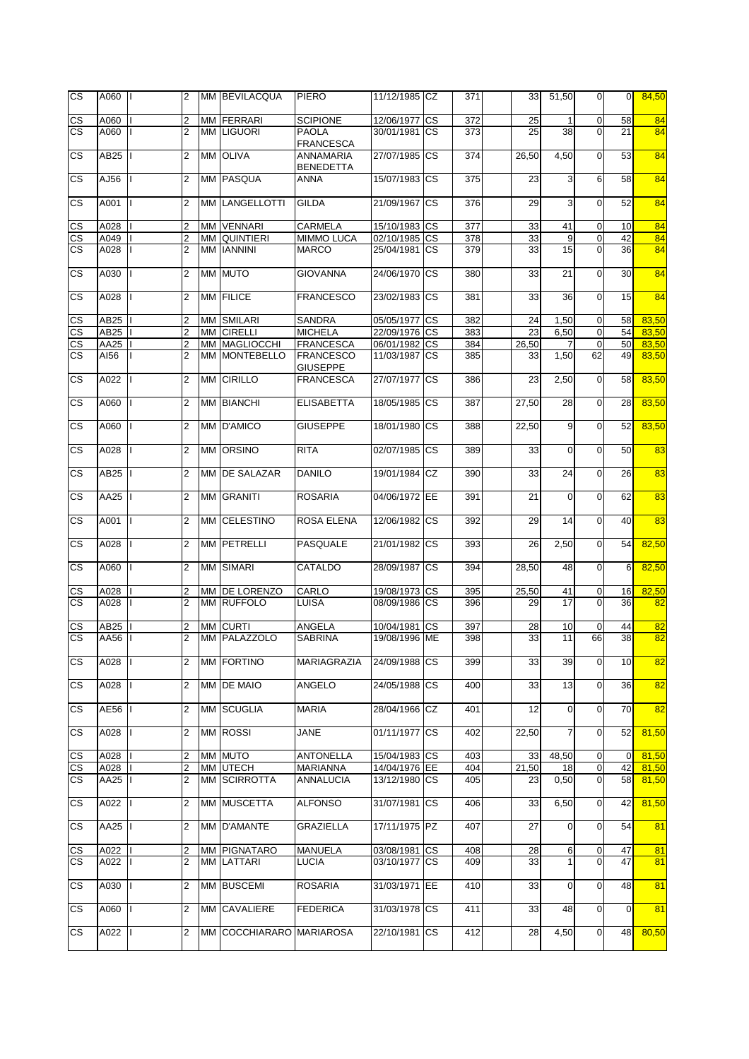| <b>CS</b>              | A060 II          |   | 2              | MM BEVILACQUA            | <b>PIERO</b>                        | 11/12/1985 CZ |                        | 371              | 33    | 51,50          | $\overline{0}$ | $\overline{0}$ | 84,50 |
|------------------------|------------------|---|----------------|--------------------------|-------------------------------------|---------------|------------------------|------------------|-------|----------------|----------------|----------------|-------|
| <b>CS</b>              | A060             |   | 2              | MM FERRARI               | <b>SCIPIONE</b>                     | 12/06/1977    | $\overline{\text{cs}}$ | $\overline{372}$ | 25    | $\mathbf{1}$   | $\mathbf 0$    | 58             | 84    |
| $\overline{\text{cs}}$ | A060             |   | $\overline{2}$ | MM LIGUORI               | <b>PAOLA</b><br><b>FRANCESCA</b>    | 30/01/1981 CS |                        | 373              | 25    | 38             | $\Omega$       | 21             | 84    |
| $\overline{\text{cs}}$ | AB25             |   | $\overline{2}$ | MM OLIVA                 | ANNAMARIA<br><b>BENEDETTA</b>       | 27/07/1985 CS |                        | 374              | 26,50 | 4,50           | $\overline{0}$ | 53             | 84    |
| $\overline{\text{cs}}$ | AJ56             |   | 2              | MM PASQUA                | <b>ANNA</b>                         | 15/07/1983 CS |                        | 375              | 23    | 3              | 6              | 58             | 84    |
| CS                     | A001             |   | 2              | MM LANGELLOTTI           | <b>GILDA</b>                        | 21/09/1967 CS |                        | 376              | 29    | 3              | $\mathbf 0$    | 52             | 84    |
| CS                     | A028             |   | 2              | MM VENNARI               | CARMELA                             | 15/10/1983 CS |                        | 377              | 33    | 41             | $\mathbf 0$    | 10             | 84    |
| $\overline{\text{cs}}$ | A049             |   | $\overline{c}$ | MM QUINTIERI             | <b>MIMMO LUCA</b>                   | 02/10/1985 CS |                        | $\overline{378}$ | 33    | 9              | $\mathbf 0$    | 42             | 84    |
| <b>CS</b>              | A028             |   | 2              | MM IANNINI               | <b>MARCO</b>                        | 25/04/1981 CS |                        | 379              | 33    | 15             | $\overline{0}$ | 36             | 84    |
| CS                     | A030             |   | 2              | MM MUTO                  | <b>GIOVANNA</b>                     | 24/06/1970 CS |                        | 380              | 33    | 21             | $\overline{O}$ | 30             | 84    |
| <b>CS</b>              | A028             |   | $\overline{2}$ | MM FILICE                | <b>FRANCESCO</b>                    | 23/02/1983 CS |                        | 381              | 33    | 36             | $\mathbf 0$    | 15             | 84    |
| CS                     | AB25             |   | 2              | MM SMILARI               | <b>SANDRA</b>                       | 05/05/1977 CS |                        | 382              | 24    | 1,50           | $\mathbf 0$    | 58             | 83,50 |
| $\overline{\text{CS}}$ | AB25             |   | 2              | MM CIRELLI               | <b>MICHELA</b>                      | 22/09/1976 CS |                        | 383              | 23    | 6,50           | $\mathbf 0$    | 54             | 83,50 |
| $\overline{\text{CS}}$ | AA25             |   | $\overline{c}$ | MM MAGLIOCCHI            | <b>FRANCESCA</b>                    | 06/01/1982 CS |                        | 384              | 26,50 | 7              | $\mathbf 0$    | 50             | 83,50 |
| <b>CS</b>              | AI56             |   | 2              | MM MONTEBELLO            | <b>FRANCESCO</b><br><b>GIUSEPPE</b> | 11/03/1987 CS |                        | 385              | 33    | 1,50           | 62             | 49             | 83,50 |
| CS                     | A022             |   | $\overline{2}$ | <b>MM CIRILLO</b>        | <b>FRANCESCA</b>                    | 27/07/1977 CS |                        | 386              | 23    | 2,50           | $\overline{O}$ | 58             | 83,50 |
| CS.                    | A060             |   | 2              | MM BIANCHI               | <b>ELISABETTA</b>                   | 18/05/1985 CS |                        | 387              | 27,50 | 28             | $\mathbf 0$    | 28             | 83,50 |
| CS                     | A060             |   | 2              | MM D'AMICO               | <b>GIUSEPPE</b>                     | 18/01/1980 CS |                        | 388              | 22,50 | 9              | $\mathbf 0$    | 52             | 83,50 |
| CS                     | A028             | L | $\overline{2}$ | MM ORSINO                | <b>RITA</b>                         | 02/07/1985 CS |                        | 389              | 33    | $\mathbf 0$    | $\mathbf{0}$   | 50             | 83    |
| $\overline{\text{cs}}$ | AB25             |   | 2              | MM <b>DE SALAZAR</b>     | <b>DANILO</b>                       | 19/01/1984 CZ |                        | 390              | 33    | 24             | $\overline{0}$ | 26             | 83    |
| $\overline{\text{cs}}$ | AA25             |   | 2              | MM GRANITI               | <b>ROSARIA</b>                      | 04/06/1972 EE |                        | 391              | 21    | $\mathbf 0$    | $\mathbf 0$    | 62             | 83    |
| $\overline{\text{cs}}$ | A001             |   | 2              | MM CELESTINO             | ROSA ELENA                          | 12/06/1982 CS |                        | 392              | 29    | 14             | $\overline{0}$ | 40             | 83    |
| $\overline{\text{cs}}$ | A028             |   | $\overline{2}$ | MM PETRELLI              | PASQUALE                            | 21/01/1982 CS |                        | 393              | 26    | 2,50           | $\overline{0}$ | 54             | 82,50 |
| <b>CS</b>              | A060             |   | $\overline{2}$ | MM SIMARI                | <b>CATALDO</b>                      | 28/09/1987 CS |                        | 394              | 28,50 | 48             | $\mathbf 0$    | 6              | 82,50 |
| CS                     | A028             |   | 2              | MM DE LORENZO            | CARLO                               | 19/08/1973 CS |                        | 395              | 25,50 | 41             | $\mathbf 0$    | 16             | 82,50 |
| $\overline{\text{cs}}$ | A028             | Ш | $\overline{2}$ | MM RUFFOLO               | <b>LUISA</b>                        | 08/09/1986 CS |                        | 396              | 29    | 17             | $\mathbf{0}$   | 36             | 82    |
| CS                     | AB <sub>25</sub> |   | 2              | MM CURTI                 | ANGELA                              | 10/04/1981    | <b>CS</b>              | 397              | 28    | 10             | $\mathbf 0$    | 44             | 82    |
| <b>CS</b>              | AA56             |   | $\overline{2}$ | MM PALAZZOLO             | <b>SABRINA</b>                      | 19/08/1996 ME |                        | 398              | 33    | 11             | 66             | 38             | 82    |
| CS                     | A028             |   | 2              | MM FORTINO               | MARIAGRAZIA                         | 24/09/1988 CS |                        | 399              | 33    | 39             | $\mathbf 0$    | 10             | 82    |
| <b>CS</b>              | A028             |   | $\overline{c}$ | MM DE MAIO               | <b>ANGELO</b>                       | 24/05/1988 CS |                        | 400              | 33    | 13             | $\overline{0}$ | 36             | 82    |
| CS.                    | AE56             |   | 2              | MM SCUGLIA               | <b>MARIA</b>                        | 28/04/1966 CZ |                        | 401              | 12    | $\mathbf 0$    | $\overline{0}$ | 70             | 82    |
| CS.                    | A028             |   | 2              | MM ROSSI                 | <b>JANE</b>                         | 01/11/1977 CS |                        | 402              | 22,50 | $\overline{7}$ | $\overline{0}$ | 52             | 81,50 |
| CS                     | A028             |   | 2              | MM MUTO                  | <b>ANTONELLA</b>                    | 15/04/1983 CS |                        | 403              | 33    | 48,50          | $\mathbf 0$    | $\mathbf 0$    | 81,50 |
| CS                     | A028             |   | 2              | MM UTECH                 | <b>MARIANNA</b>                     | 14/04/1976 EE |                        | 404              | 21,50 | 18             | $\overline{0}$ | 42             | 81,50 |
| CS.                    | AA25             |   | $\overline{c}$ | MM SCIRROTTA             | <b>ANNALUCIA</b>                    | 13/12/1980 CS |                        | 405              | 23    | 0,50           | $\overline{0}$ | 58             | 81,50 |
| CS                     | A022             |   | 2              | MM MUSCETTA              | <b>ALFONSO</b>                      | 31/07/1981 CS |                        | 406              | 33    | 6,50           | $\overline{0}$ | 42             | 81,50 |
| CS.                    | AA25             |   | 2              | MM D'AMANTE              | <b>GRAZIELLA</b>                    | 17/11/1975 PZ |                        | 407              | 27    | $\mathbf 0$    | $\overline{0}$ | 54             | 81    |
| CS                     | A022             |   | 2              | MM PIGNATARO             | <b>MANUELA</b>                      | 03/08/1981    | <b>CS</b>              | 408              | 28    | 6              | $\mathbf 0$    | 47             | 81    |
| <b>CS</b>              | A022             |   | 2              | MM LATTARI               | <b>LUCIA</b>                        | 03/10/1977 CS |                        | 409              | 33    |                | $\overline{0}$ | 47             | 81    |
| CS.                    | A030             |   | 2              | MM BUSCEMI               | <b>ROSARIA</b>                      | 31/03/1971 EE |                        | 410              | 33    | 0              | $\mathbf 0$    | 48             | 81    |
| <b>CS</b>              | A060             |   | 2              | MM CAVALIERE             | <b>FEDERICA</b>                     | 31/03/1978 CS |                        | 411              | 33    | 48             | $\mathbf 0$    | $\mathbf 0$    | 81    |
| CS                     | A022             |   | 2              | MM COCCHIARARO MARIAROSA |                                     | 22/10/1981 CS |                        | 412              | 28    | 4,50           | $\overline{0}$ | 48             | 80,50 |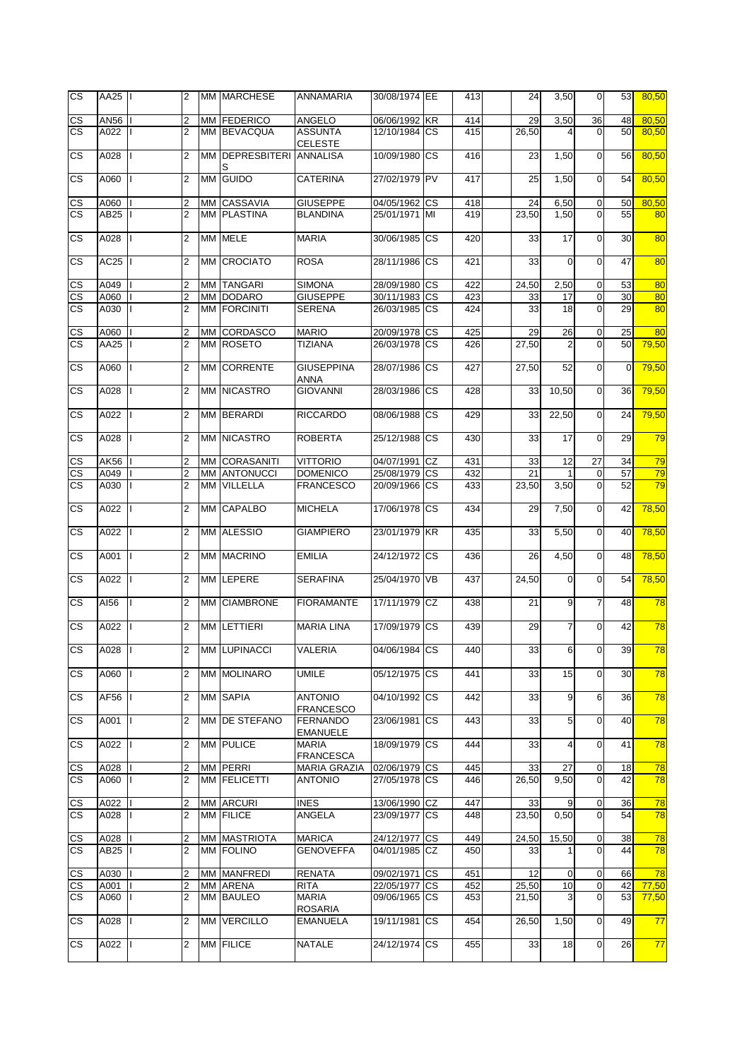| <b>CS</b>                | AA25 |   | $\overline{2}$          |    | MM MARCHESE          | ANNAMARIA                          | 30/08/1974 EE |           | 413 | 24    | 3,50           | $\overline{0}$  | 53          | 80,50 |
|--------------------------|------|---|-------------------------|----|----------------------|------------------------------------|---------------|-----------|-----|-------|----------------|-----------------|-------------|-------|
| CS                       | AN56 |   | $\overline{2}$          |    | MM FEDERICO          | <b>ANGELO</b>                      | 06/06/1992 KR |           | 414 | 29    | 3,50           | 36              | 48          | 80,50 |
| $\overline{\text{cs}}$   | A022 |   | $\overline{2}$          |    | MM BEVACQUA          | <b>ASSUNTA</b><br><b>CELESTE</b>   | 12/10/1984 CS |           | 415 | 26,50 |                | $\mathbf 0$     | 50          | 80,50 |
| $\overline{\text{cs}}$   | A028 |   | $\overline{2}$          |    | MM DEPRESBITERI<br>S | <b>ANNALISA</b>                    | 10/09/1980    | <b>CS</b> | 416 | 23    | 1,50           | $\overline{0}$  | 56          | 80,50 |
| $\overline{\text{cs}}$   | A060 |   | $\overline{2}$          |    | MM GUIDO             | <b>CATERINA</b>                    | 27/02/1979 PV |           | 417 | 25    | 1,50           | $\overline{0}$  | 54          | 80,50 |
| CS                       | A060 |   | $\overline{2}$          |    | MM CASSAVIA          | <b>GIUSEPPE</b>                    | 04/05/1962    | <b>CS</b> | 418 | 24    | 6,50           | $\mathbf 0$     | 50          | 80,50 |
| $\overline{\text{cs}}$   | AB25 |   | $\overline{2}$          |    | <b>MM PLASTINA</b>   | <b>BLANDINA</b>                    | 25/01/1971    | MI        | 419 | 23,50 | 1,50           | $\mathbf 0$     | 55          | 80    |
|                          |      |   |                         |    |                      |                                    |               |           |     |       |                |                 |             |       |
| CS                       | A028 |   | $\overline{2}$          |    | MM MELE              | <b>MARIA</b>                       | 30/06/1985    | <b>CS</b> | 420 | 33    | 17             | $\mathbf 0$     | 30          | 80    |
| CS                       | AC25 |   | $\overline{2}$          | MМ | <b>CROCIATO</b>      | <b>ROSA</b>                        | 28/11/1986    | <b>CS</b> | 421 | 33    | $\mathbf 0$    | $\mathbf 0$     | 47          | 80    |
| $\overline{\text{cs}}$   | A049 |   | $\overline{2}$          |    | MM TANGARI           | <b>SIMONA</b>                      | 28/09/1980 CS |           | 422 | 24,50 | 2,50           | $\mathbf 0$     | 53          | 80    |
| $\overline{\text{cs}}$   | A060 |   | $\overline{2}$          |    | MM DODARO            | <b>GIUSEPPE</b>                    | 30/11/1983    | <b>CS</b> | 423 | 33    | 17             | $\mathbf 0$     | 30          | 80    |
| <b>CS</b>                | A030 |   | $\overline{2}$          |    | MM FORCINITI         | <b>SERENA</b>                      | 26/03/1985    | <b>CS</b> | 424 | 33    | 18             | $\mathbf 0$     | 29          | 80    |
|                          |      |   |                         |    |                      |                                    |               |           |     |       |                |                 |             |       |
| $\mathsf{CS}\phantom{0}$ | A060 |   | 2                       |    | MM CORDASCO          | <b>MARIO</b>                       | 20/09/1978 CS |           | 425 | 29    | 26             | $\mathbf 0$     | 25          | 80    |
| <b>CS</b>                | AA25 |   | $\overline{2}$          |    | MM ROSETO            | <b>TIZIANA</b>                     | 26/03/1978    | <b>CS</b> | 426 | 27,50 | $\overline{2}$ | $\mathbf 0$     | 50          | 79.50 |
|                          |      |   |                         |    |                      |                                    |               |           |     |       |                |                 |             |       |
| <b>CS</b>                | A060 |   | $\overline{2}$          | ΜМ | <b>CORRENTE</b>      | <b>GIUSEPPINA</b><br>ANNA          | 28/07/1986    | <b>CS</b> | 427 | 27,50 | 52             | $\overline{0}$  | $\mathbf 0$ | 79,50 |
| CS                       | A028 |   | $\overline{2}$          |    | <b>MM NICASTRO</b>   | <b>GIOVANNI</b>                    | 28/03/1986    | <b>CS</b> | 428 | 33    | 10,50          | $\overline{0}$  | 36          | 79,50 |
| CS                       | A022 |   | $\overline{2}$          |    | MM BERARDI           | <b>RICCARDO</b>                    | 08/06/1988    | <b>CS</b> | 429 | 33    | 22,50          | $\overline{0}$  | 24          | 79,50 |
| <b>CS</b>                | A028 |   | $\overline{2}$          | MМ | <b>NICASTRO</b>      | <b>ROBERTA</b>                     | 25/12/1988    | <b>CS</b> | 430 | 33    | 17             | $\overline{0}$  | 29          | 79    |
| $\mathsf{CS}\,$          | AK56 |   | 2                       |    | MM CORASANITI        | <b>VITTORIO</b>                    | 04/07/1991 CZ |           | 431 | 33    | 12             | 27              | 34          | 79    |
| $\overline{\text{CS}}$   | A049 |   | $\overline{2}$          |    | MM ANTONUCCI         | <b>DOMENICO</b>                    | 25/08/1979 CS |           | 432 | 21    | 1              | $\mathbf 0$     | 57          | 79    |
| <b>CS</b>                | A030 |   | $\overline{2}$          |    | MM VILLELLA          | <b>FRANCESCO</b>                   | 20/09/1966    | <b>CS</b> | 433 | 23,50 | 3,50           | $\overline{0}$  | 52          | 79    |
| $\overline{\text{cs}}$   | A022 |   | $\overline{2}$          |    | <b>MM CAPALBO</b>    | <b>MICHELA</b>                     | 17/06/1978    | <b>CS</b> | 434 | 29    | 7,50           | $\mathbf 0$     | 42          | 78,50 |
|                          |      |   |                         |    |                      |                                    |               |           |     |       |                |                 |             |       |
| CS                       | A022 |   | $\overline{2}$          |    | MM ALESSIO           | <b>GIAMPIERO</b>                   | 23/01/1979    | <b>KR</b> | 435 | 33    | 5,50           | $\overline{0}$  | 40          | 78,50 |
| CS                       | A001 |   | $\overline{2}$          |    | <b>MM MACRINO</b>    | <b>EMILIA</b>                      | 24/12/1972 CS |           | 436 | 26    | 4,50           | $\mathbf 0$     | 48          | 78,50 |
| CS                       | A022 |   | 2                       |    | MM LEPERE            | <b>SERAFINA</b>                    | 25/04/1970 VB |           | 437 | 24,50 | $\mathbf 0$    | $\mathbf 0$     | 54          | 78,50 |
| CS                       | AI56 |   | $\overline{2}$          |    | MM CIAMBRONE         | <b>FIORAMANTE</b>                  | 17/11/1979    | <b>CZ</b> | 438 | 21    | 9              | $\overline{7}$  | 48          | 78    |
| CS                       | A022 |   | $\overline{2}$          |    | MM LETTIERI          | <b>MARIA LINA</b>                  | 17/09/1979    | <b>CS</b> | 439 | 29    | $\overline{7}$ | $\mathbf 0$     | 42          | 78    |
| <b>CS</b>                | A028 |   | $\overline{2}$          |    | MM LUPINACCI         | VALERIA                            | 04/06/1984 CS |           | 440 | 33    | 6 <sup>1</sup> | $\Omega$        | 39          | 78    |
| CS                       | A060 |   | $\overline{2}$          |    | <b>MM MOLINARO</b>   | UMILE                              | 05/12/1975    | <b>CS</b> | 441 | 33    | 15             | $\mathbf 0$     | 30          | 78    |
| <b>CS</b>                | AF56 | L | $\overline{2}$          |    | <b>MM SAPIA</b>      | <b>ANTONIO</b><br><b>FRANCESCO</b> | 04/10/1992    | <b>CS</b> | 442 | 33    | 9              | $6\phantom{.}6$ | 36          | 78    |
| CS.                      | A001 | L | $\overline{2}$          |    | MM DE STEFANO        | <b>FERNANDO</b><br><b>EMANUELE</b> | 23/06/1981    | CS        | 443 | 33    | 5              | $\overline{0}$  | 40          | 78    |
| CS.                      | A022 |   | $\overline{2}$          |    | MM PULICE            | <b>MARIA</b><br><b>FRANCESCA</b>   | 18/09/1979    | <b>CS</b> | 444 | 33    | 4              | $\Omega$        | 41          | 78    |
| <u>CS</u>                | A028 |   | $\overline{\mathbf{c}}$ |    | MM PERRI             | <b>MARIA GRAZIA</b>                | 02/06/1979    | <b>CS</b> | 445 | 33    | 27             | $\mathbf 0$     | 18          | 78    |
| CS.                      | A060 |   | $\overline{2}$          |    | MM FELICETTI         | <b>ANTONIO</b>                     | 27/05/1978 CS |           | 446 | 26,50 | 9,50           | $\overline{0}$  | 42          | 78    |
| <u>CS</u>                | A022 |   | 2                       |    | MM ARCURI            | <b>INES</b>                        | 13/06/1990    | CZ        | 447 | 33    | 9              | $\mathbf 0$     | 36          | 78    |
| CS.                      | A028 |   | $\overline{2}$          |    | MM FILICE            | ANGELA                             | 23/09/1977 CS |           | 448 | 23.50 | 0,50           | $\overline{0}$  | 54          | 78    |
|                          |      |   |                         |    |                      |                                    |               |           |     |       |                |                 |             |       |
| CS                       | A028 |   | 2                       |    | MM MASTRIOTA         | <b>MARICA</b>                      | 24/12/1977 CS |           | 449 | 24,50 | 15,50          | $\overline{0}$  | 38          | 78    |
| <b>CS</b>                | AB25 |   | $\overline{2}$          |    | <b>MM FOLINO</b>     | <b>GENOVEFFA</b>                   | 04/01/1985 CZ |           | 450 | 33    | 1              | $\Omega$        | 44          | 78    |
| CS                       | A030 |   | 2                       |    | MM MANFREDI          | <b>RENATA</b>                      | 09/02/1971    | S         | 451 | 12    | $\mathbf 0$    | $\mathbf 0$     | 66          | 78    |
| CS                       | A001 |   | $\overline{2}$          |    | MM ARENA             | <b>RITA</b>                        | 22/05/1977    | СS        | 452 | 25,50 | 10             | $\mathbf 0$     | 42          | 77,50 |
| CS.                      | A060 |   | $\overline{2}$          |    | MM BAULEO            | <b>MARIA</b>                       | 09/06/1965    | <b>CS</b> | 453 | 21,50 | 3              | $\overline{0}$  | 53          | 77,50 |
|                          |      |   |                         |    |                      | <b>ROSARIA</b>                     |               |           |     |       |                |                 |             |       |
| CS.                      | A028 |   | 2                       |    | MM VERCILLO          | <b>EMANUELA</b>                    | 19/11/1981    | <b>CS</b> | 454 | 26,50 | 1,50           | $\overline{0}$  | 49          | 77    |
| CS.                      | A022 |   | 2                       |    | MM FILICE            | <b>NATALE</b>                      | 24/12/1974 CS |           | 455 | 33    | 18             | $\overline{0}$  | 26          | 77    |
|                          |      |   |                         |    |                      |                                    |               |           |     |       |                |                 |             |       |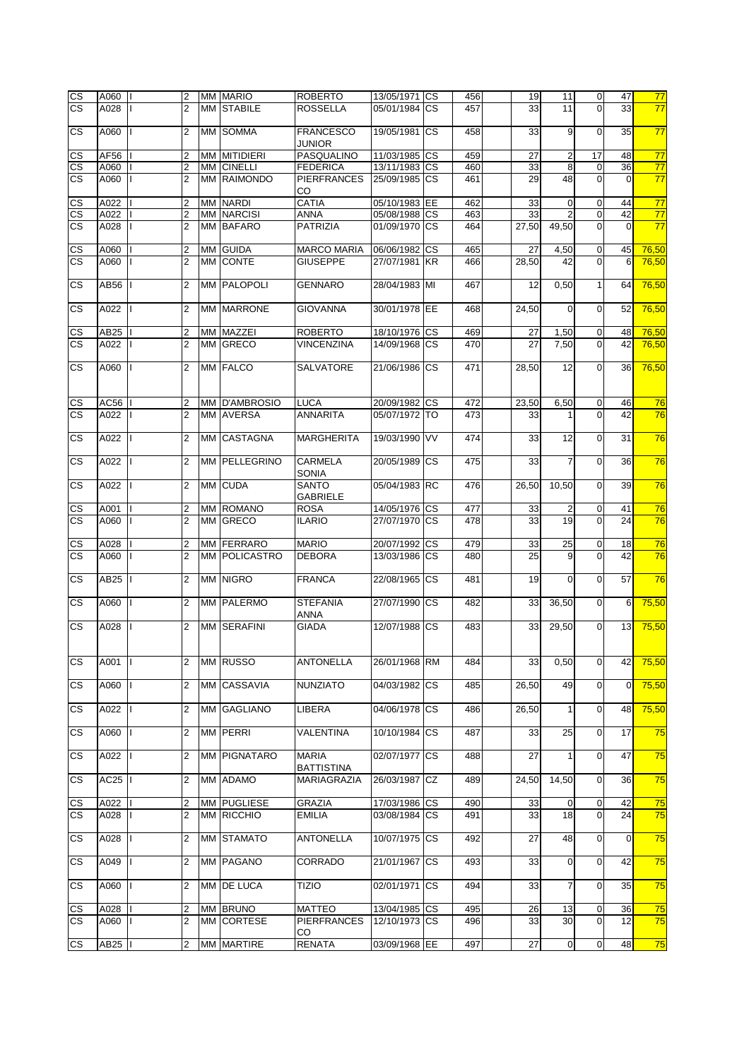| $\overline{\text{cs}}$ | A060     | $\overline{2}$ |    | MM MARIO            | <b>ROBERTO</b>     | 13/05/1971 CS |           | 456 | 19    | 11             | $\overline{0}$ | 47          | 77    |
|------------------------|----------|----------------|----|---------------------|--------------------|---------------|-----------|-----|-------|----------------|----------------|-------------|-------|
| <b>CS</b>              | A028     | $\overline{2}$ |    | <b>MM STABILE</b>   | <b>ROSSELLA</b>    | 05/01/1984 CS |           | 457 | 33    | 11             | $\mathbf 0$    | 33          | 77    |
|                        |          |                |    |                     |                    |               |           |     |       |                |                |             |       |
| $\overline{\text{cs}}$ | A060     | $\overline{2}$ |    | MM SOMMA            | <b>FRANCESCO</b>   | 19/05/1981 CS |           | 458 | 33    | 9              | $\mathbf 0$    | 35          | 77    |
|                        |          |                |    |                     | JUNIOR             |               |           |     |       |                |                |             |       |
| <b>CS</b>              | AF56     | 2              |    | <b>MM MITIDIERI</b> | PASQUALINO         | 11/03/1985 CS |           | 459 | 27    | 2              | 17             | 48          | 77    |
| CS                     | A060     | 2              | МM | <b>CINELLI</b>      | <b>FEDERICA</b>    | 13/11/1983 CS |           | 460 | 33    | $\overline{8}$ | $\mathbf 0$    | 36          | 77    |
| $\overline{\text{cs}}$ | A060     | $\overline{2}$ |    | MM RAIMONDO         | <b>PIERFRANCES</b> | 25/09/1985 CS |           | 461 | 29    | 48             | $\Omega$       | $\Omega$    | 77    |
|                        |          |                |    |                     | CO                 |               |           |     |       |                |                |             |       |
| CS                     | A022     | 2              |    | <b>MM NARDI</b>     | <b>CATIA</b>       | 05/10/1983 EE |           | 462 | 33    | $\mathbf 0$    | $\mathbf 0$    | 44          | 77    |
| $\overline{\text{cs}}$ | A022     | $\overline{2}$ |    | <b>MM NARCISI</b>   | <b>ANNA</b>        | 05/08/1988 CS |           | 463 | 33    | $\overline{2}$ | $\overline{0}$ | 42          | 77    |
| <b>CS</b>              | A028     | $\overline{2}$ |    | <b>MM BAFARO</b>    | PATRIZIA           | 01/09/1970 CS |           | 464 | 27,50 | 49,50          | $\mathbf 0$    | $\Omega$    | 77    |
|                        |          |                |    |                     |                    |               |           |     |       |                |                |             |       |
| CS                     | A060     | 2              |    | MM GUIDA            | <b>MARCO MARIA</b> | 06/06/1982 CS |           | 465 | 27    | 4,50           | $\pmb{0}$      | 45          | 76,50 |
| <b>CS</b>              | A060     | $\overline{2}$ |    | MM CONTE            | <b>GIUSEPPE</b>    | 27/07/1981 KR |           | 466 | 28,50 | 42             | $\Omega$       | 6           | 76,50 |
|                        |          |                |    |                     |                    |               |           |     |       |                |                |             |       |
| <b>CS</b>              | AB56     | 2              |    | MM PALOPOLI         | <b>GENNARO</b>     | 28/04/1983 MI |           | 467 | 12    | 0,50           | $\mathbf{1}$   | 64          | 76,50 |
|                        |          |                |    |                     |                    |               |           |     |       |                |                |             |       |
| <b>CS</b>              | A022     | $\overline{2}$ | MМ | <b>MARRONE</b>      | <b>GIOVANNA</b>    | 30/01/1978 EE |           | 468 | 24,50 | $\mathbf 0$    | $\mathbf 0$    | 52          | 76,50 |
|                        |          |                |    |                     |                    |               |           |     |       |                |                |             |       |
| <u>CS</u>              | AB25     | 2              |    | MM MAZZEI           | <b>ROBERTO</b>     | 18/10/1976 CS |           | 469 | 27    | 1,50           | $\mathbf 0$    | 48          | 76,50 |
| <b>CS</b>              | A022     | $\overline{2}$ |    | MM GRECO            | <b>VINCENZINA</b>  | 14/09/1968 CS |           | 470 | 27    | 7,50           | $\Omega$       | 42          | 76,50 |
|                        |          |                |    |                     |                    |               |           |     |       |                |                |             |       |
| <b>CS</b>              | A060     | $\overline{2}$ |    | MM FALCO            | SALVATORE          | 21/06/1986 CS |           | 471 | 28,50 | 12             | $\mathbf 0$    | 36          | 76,50 |
|                        |          |                |    |                     |                    |               |           |     |       |                |                |             |       |
|                        |          |                |    |                     |                    |               |           |     |       |                |                |             |       |
| CS                     | AC56     | 2              |    | MM D'AMBROSIO       | <b>LUCA</b>        | 20/09/1982 CS |           | 472 | 23,50 | 6,50           | $\mathbf 0$    | 46          | 76    |
| <b>CS</b>              | A022     | $\overline{2}$ |    | MM AVERSA           | <b>ANNARITA</b>    | 05/07/1972 TO |           | 473 | 33    |                | $\Omega$       | 42          | 76    |
|                        |          |                |    |                     |                    |               |           |     |       |                |                |             |       |
| <b>CS</b>              | A022     | $\overline{2}$ | MМ | <b>CASTAGNA</b>     | <b>MARGHERITA</b>  | 19/03/1990 VV |           | 474 | 33    | 12             | $\mathbf 0$    | 31          | 76    |
|                        |          |                |    |                     |                    |               |           |     |       |                |                |             |       |
| <b>CS</b>              | A022     | $\overline{2}$ |    | MM PELLEGRINO       | CARMELA            | 20/05/1989    | <b>CS</b> | 475 | 33    | $\overline{7}$ | $\mathbf 0$    | 36          | 76    |
|                        |          |                |    |                     | <b>SONIA</b>       |               |           |     |       |                |                |             |       |
| CS.                    | A022     | $\overline{2}$ |    | MM CUDA             | <b>SANTO</b>       | 05/04/1983 RC |           | 476 | 26,50 | 10,50          | $\mathbf 0$    | 39          | 76    |
|                        |          |                |    |                     | <b>GABRIELE</b>    |               |           |     |       |                |                |             |       |
| <b>CS</b>              | A001     | 2              |    | MM ROMANO           | <b>ROSA</b>        | 14/05/1976    | <b>CS</b> | 477 | 33    | $\overline{2}$ | $\mathbf 0$    | 41          | 76    |
| <b>CS</b>              | A060     | 2              |    | MM GRECO            | <b>ILARIO</b>      | 27/07/1970 CS |           | 478 | 33    | 19             | $\Omega$       | 24          | 76    |
|                        |          |                |    |                     |                    |               |           |     |       |                |                |             |       |
| CS                     | A028     | 2              |    | MM FERRARO          | <b>MARIO</b>       | 20/07/1992 CS |           | 479 | 33    | 25             | $\mathbf 0$    | 18          | 76    |
| $\overline{\text{cs}}$ | A060     | $\overline{2}$ |    | MM POLICASTRO       | <b>DEBORA</b>      | 13/03/1986 CS |           | 480 | 25    | 9              | $\Omega$       | 42          | 76    |
|                        |          |                |    |                     |                    |               |           |     |       |                |                |             |       |
| $\overline{\text{cs}}$ | AB25     | 2              |    | MM NIGRO            | <b>FRANCA</b>      | 22/08/1965 CS |           | 481 | 19    | 0              | $\mathbf 0$    | 57          | 76    |
|                        |          |                |    |                     |                    |               |           |     |       |                |                |             |       |
| CS.                    | A060     | $\overline{2}$ |    | MM PALERMO          | <b>STEFANIA</b>    | 27/07/1990 CS |           | 482 | 33    | 36,50          | $\overline{0}$ | 6           | 75,50 |
|                        |          |                |    |                     | <b>ANNA</b>        |               |           |     |       |                |                |             |       |
| $\overline{\text{cs}}$ | A028     | $\overline{2}$ |    | MM SERAFINI         | <b>GIADA</b>       | 12/07/1988 CS |           | 483 | 33    | 29,50          | $\Omega$       | 13          | 75,50 |
|                        |          |                |    |                     |                    |               |           |     |       |                |                |             |       |
|                        |          |                |    |                     |                    |               |           |     |       |                |                |             |       |
| CS.                    | A001   I | $\overline{2}$ |    | MM RUSSO            | <b>ANTONELLA</b>   | 26/01/1968 RM |           | 484 | 33    | 0,50           | $\mathbf 0$    | 42          | 75,50 |
|                        |          |                |    |                     |                    |               |           |     |       |                |                |             |       |
| CS.                    | A060     | $\overline{2}$ |    | MM CASSAVIA         | NUNZIATO           | 04/03/1982 CS |           | 485 | 26,50 | 49             | $\mathbf 0$    | $\mathbf 0$ | 75,50 |
|                        |          |                |    |                     |                    |               |           |     |       |                |                |             |       |
| CS.                    | A022     | 2              |    | MM GAGLIANO         | LIBERA             | 04/06/1978 CS |           | 486 | 26,50 | 1              | $\overline{0}$ | 48          | 75,50 |
|                        |          |                |    |                     |                    |               |           |     |       |                |                |             |       |
| CS.                    | A060     | 2              |    | MM PERRI            | VALENTINA          | 10/10/1984 CS |           | 487 | 33    | 25             | $\mathbf 0$    | 17          | 75    |
|                        |          |                |    |                     |                    |               |           |     |       |                |                |             |       |
| CS.                    | A022     | 2              |    | MM PIGNATARO        | <b>MARIA</b>       | 02/07/1977    | <b>CS</b> | 488 | 27    | 1              | $\mathbf 0$    | 47          | 75    |
|                        |          |                |    |                     | <b>BATTISTINA</b>  |               |           |     |       |                |                |             |       |
| CS.                    | AC25     | $\overline{2}$ |    | MM ADAMO            | <b>MARIAGRAZIA</b> | 26/03/1987    | <b>CZ</b> | 489 | 24,50 | 14,50          | $\mathbf 0$    | 36          | 75    |
|                        |          |                |    |                     |                    |               |           |     |       |                |                |             |       |
| CS                     | A022     | 2              | MM | <b>PUGLIESE</b>     | GRAZIA             | 17/03/1986 CS |           | 490 | 33    | $\mathbf 0$    | $\pmb{0}$      | 42          | 75    |
| CS.                    | A028     | 2              |    | MM RICCHIO          | <b>EMILIA</b>      | 03/08/1984 CS |           | 491 | 33    | 18             | $\mathbf 0$    | 24          | 75    |
|                        |          |                |    |                     |                    |               |           |     |       |                |                |             |       |
| СS                     | A028     | 2              |    | MM STAMATO          | <b>ANTONELLA</b>   | 10/07/1975 CS |           | 492 | 27    | 48             | $\mathbf 0$    | $\mathbf 0$ | 75    |
|                        |          |                |    |                     |                    |               |           |     |       |                |                |             |       |
| <b>CS</b>              | A049     | 2              |    | MM PAGANO           | <b>CORRADO</b>     | 21/01/1967    | <b>CS</b> | 493 | 33    | 0              | $\mathbf 0$    | 42          | 75    |
|                        |          |                |    |                     |                    |               |           |     |       |                |                |             |       |
| CS.                    | A060     | 2              |    | MM DE LUCA          | <b>TIZIO</b>       | 02/01/1971    | <b>CS</b> | 494 | 33    | 7              | $\mathbf 0$    | 35          | 75    |
|                        |          |                |    |                     |                    |               |           |     |       |                |                |             |       |
| CS                     | A028     | 2              |    | MM BRUNO            | <b>MATTEO</b>      | 13/04/1985 CS |           | 495 | 26    | 13             | $\pmb{0}$      | 36          | 75    |
| $\overline{\text{cs}}$ | A060     | 2              |    | MM CORTESE          | <b>PIERFRANCES</b> | 12/10/1973 CS |           | 496 | 33    | 30             | $\Omega$       | 12          | 75    |
|                        |          |                |    |                     | CO                 |               |           |     |       |                |                |             |       |
| CS                     | AB25     | 2              |    | MM MARTIRE          | <b>RENATA</b>      | 03/09/1968 EE |           | 497 | 27    | $\pmb{0}$      | $\pmb{0}$      | 48          | 75    |